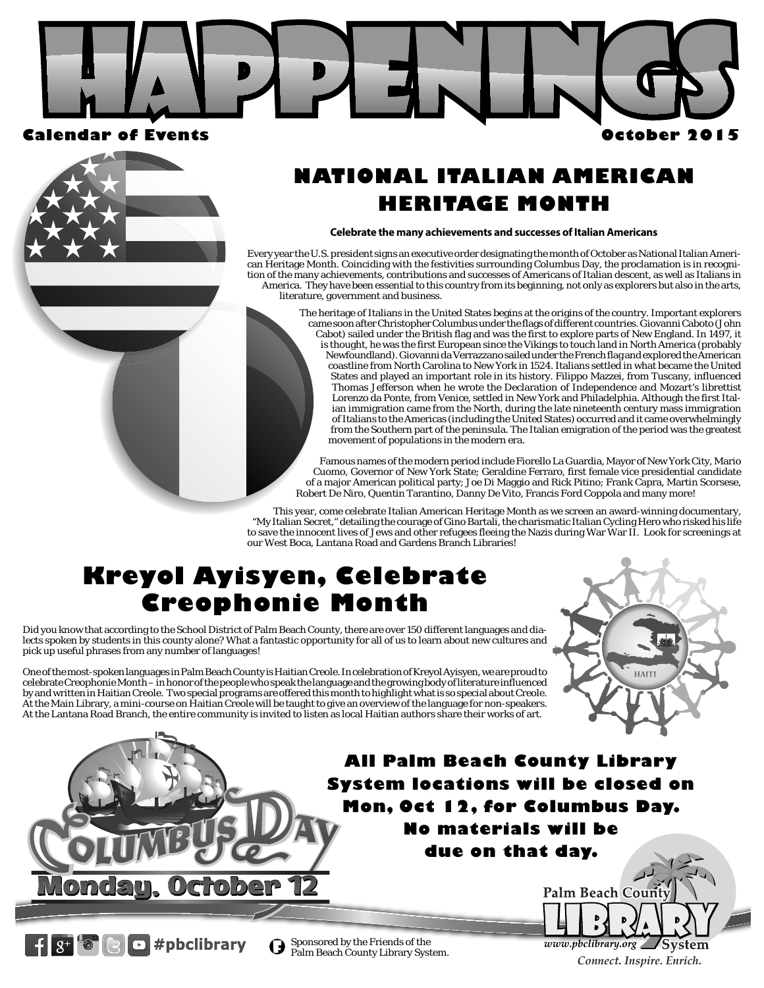



 $3^+$  <sup>t</sup>  $\bullet$   $\bullet$   $\bullet$  *#pbclibrary* 

## **NATIONAL ITALIAN AMERICAN HERITAGE MONTH**

#### **Celebrate the many achievements and successes of Italian Americans**

Every year the U.S. president signs an executive order designating the month of October as National Italian American Heritage Month. Coinciding with the festivities surrounding Columbus Day, the proclamation is in recognition of the many achievements, contributions and successes of Americans of Italian descent, as well as Italians in America. They have been essential to this country from its beginning, not only as explorers but also in the arts, literature, government and business.

> The heritage of Italians in the United States begins at the origins of the country. Important explorers came soon after Christopher Columbus under the flags of different countries. Giovanni Caboto (John Cabot) sailed under the British flag and was the first to explore parts of New England. In 1497, it is thought, he was the first European since the Vikings to touch land in North America (probably Newfoundland). Giovanni da Verrazzano sailed under the French flag and explored the American coastline from North Carolina to New York in 1524. Italians settled in what became the United States and played an important role in its history. Filippo Mazzei, from Tuscany, influenced Thomas Jefferson when he wrote the Declaration of Independence and Mozart's librettist Lorenzo da Ponte, from Venice, settled in New York and Philadelphia. Although the first Italian immigration came from the North, during the late nineteenth century mass immigration of Italians to the Americas (including the United States) occurred and it came overwhelmingly from the Southern part of the peninsula. The Italian emigration of the period was the greatest movement of populations in the modern era.

Famous names of the modern period include Fiorello La Guardia, Mayor of New York City, Mario Cuomo, Governor of New York State; Geraldine Ferraro, first female vice presidential candidate of a major American political party; Joe Di Maggio and Rick Pitino; Frank Capra, Martin Scorsese, Robert De Niro, Quentin Tarantino, Danny De Vito, Francis Ford Coppola and many more!

This year, come celebrate Italian American Heritage Month as we screen an award-winning documentary, "My Italian Secret," detailing the courage of Gino Bartali, the charismatic Italian Cycling Hero who risked his life to save the innocent lives of Jews and other refugees fleeing the Nazis during War War II. Look for screenings at our West Boca, Lantana Road and Gardens Branch Libraries!

## **Kreyol Ayisyen, Celebrate Creophonie Month**

Did you know that according to the School District of Palm Beach County, there are over 150 different languages and dialects spoken by students in this county alone? What a fantastic opportunity for all of us to learn about new cultures and pick up useful phrases from any number of languages!

One of the most-spoken languages in Palm Beach County is Haitian Creole. In celebration of Kreyol Ayisyen, we are proud to celebrate Creophonie Month – in honor of the people who speak the language and the growing body of literature influenced by and written in Haitian Creole. Two special programs are offered this month to highlight what is so special about Creole. At the Main Library, a mini-course on Haitian Creole will be taught to give an overview of the language for non-speakers. At the Lantana Road Branch, the entire community is invited to listen as local Haitian authors share their works of art.



## **All Palm Beach County Library System locations will be closed on Mon, Oct 12, for Columbus Day. No materials will be due on that day.**



 $\bigodot$  Sponsored by the Friends of the Palm Beach County Library System.

**Page 1** *Connect. Inspire. Enrich.*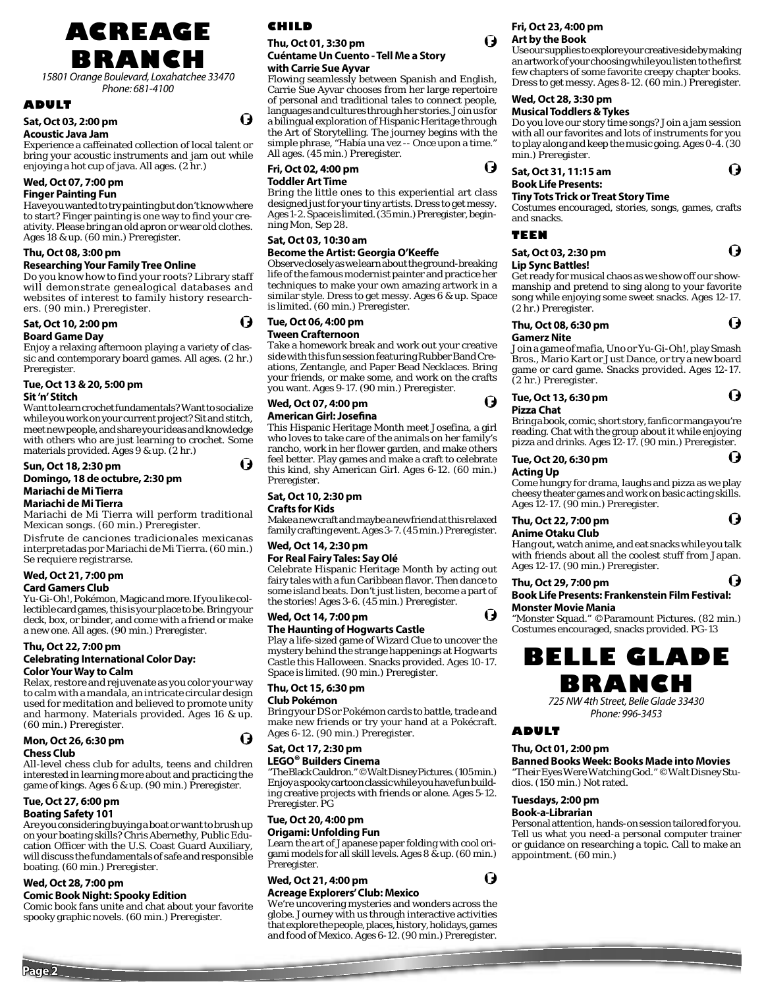**ACREAGE BRANCH**

15801 Orange Boulevard, Loxahatchee 33470 Phone: 681-4100

### **ADULT**

#### **Sat, Oct 03, 2:00 pm Acoustic Java Jam**

Experience a caffeinated collection of local talent or bring your acoustic instruments and jam out while

enjoying a hot cup of java. All ages. (2 hr.)

#### **Wed, Oct 07, 7:00 pm Finger Painting Fun**

Have you wanted to try painting but don't know where to start? Finger painting is one way to find your creativity. Please bring an old apron or wear old clothes. Ages 18 & up. (60 min.) Preregister.

### **Thu, Oct 08, 3:00 pm**

#### **Researching Your Family Tree Online**

Do you know how to find your roots? Library staff will demonstrate genealogical databases and websites of interest to family history researchers. (90 min.) Preregister.

## **Sat, Oct 10, 2:00 pm**

## **Board Game Day**

Enjoy a relaxing afternoon playing a variety of classic and contemporary board games. All ages. (2 hr.) Preregister.

#### **Tue, Oct 13 & 20, 5:00 pm**

#### **Sit 'n' Stitch**

Want to learn crochet fundamentals? Want to socialize while you work on your current project? Sit and stitch, meet new people, and share your ideas and knowledge with others who are just learning to crochet. Some materials provided. Ages 9 & up. (2 hr.)

#### **Sun, Oct 18, 2:30 pm Domingo, 18 de octubre, 2:30 pm Mariachi de Mi Tierra Mariachi de Mi Tierra**

Mariachi de Mi Tierra will perform traditional Mexican songs. (60 min.) Preregister.

Disfrute de canciones tradicionales mexicanas interpretadas por Mariachi de Mi Tierra. (60 min.) Se requiere registrarse.

## **Wed, Oct 21, 7:00 pm**

## **Card Gamers Club**

Yu-Gi-Oh!, Pokémon, Magic and more. If you like collectible card games, this is your place to be. Bring your deck, box, or binder, and come with a friend or make a new one. All ages. (90 min.) Preregister.

#### **Thu, Oct 22, 7:00 pm**

#### **Celebrating International Color Day: Color Your Way to Calm**

Relax, restore and rejuvenate as you color your way to calm with a mandala, an intricate circular design used for meditation and believed to promote unity and harmony. Materials provided. Ages 16 & up. (60 min.) Preregister.

| Mon, Oct 26, 6:30 pm |  |
|----------------------|--|
| <b>Chess Club</b>    |  |

All-level chess club for adults, teens and children interested in learning more about and practicing the game of kings. Ages  $\bar{6}$  & up. (90 min.) Preregister.

#### **Tue, Oct 27, 6:00 pm Boating Safety 101**

Are you considering buying a boat or want to brush up on your boating skills? Chris Abernethy, Public Education Officer with the U.S. Coast Guard Auxiliary, will discuss the fundamentals of safe and responsible boating. (60 min.) Preregister.

## **Wed, Oct 28, 7:00 pm**

## **Comic Book Night: Spooky Edition**

Comic book fans unite and chat about your favorite spooky graphic novels. (60 min.) Preregister.

## **CHILD**

O)

O

#### **Thu, Oct 01, 3:30 pm Cuéntame Un Cuento - Tell Me a Story with Carrie Sue Ayvar**

Flowing seamlessly between Spanish and English, Carrie Sue Ayvar chooses from her large repertoire of personal and traditional tales to connect people, languages and cultures through her stories. Join us for a bilingual exploration of Hispanic Heritage through the Art of Storytelling. The journey begins with the simple phrase, "Había una vez -- Once upon a time." All ages. (45 min.) Preregister.

#### **Fri, Oct 02, 4:00 pm Toddler Art Time**

Bring the little ones to this experiential art class designed just for your tiny artists. Dress to get messy. Ages 1-2. Space is limited. (35 min.) Preregister, beginning Mon, Sep 28.

#### **Sat, Oct 03, 10:30 am**

## **Become the Artist: Georgia O'Keeffe**

Observe closely as we learn about the ground-breaking life of the famous modernist painter and practice her techniques to make your own amazing artwork in a similar style. Dress to get messy. Ages 6 & up. Space is limited. (60 min.) Preregister.

#### **Tue, Oct 06, 4:00 pm Tween Crafternoon**

Take a homework break and work out your creative side with this fun session featuring Rubber Band Creations, Zentangle, and Paper Bead Necklaces. Bring your friends, or make some, and work on the crafts you want. Ages 9-17. (90 min.) Preregister.

#### **Wed, Oct 07, 4:00 pm American Girl: Josefina**

This Hispanic Heritage Month meet Josefina, a girl who loves to take care of the animals on her family's rancho, work in her flower garden, and make others feel better. Play games and make a craft to celebrate this kind, shy American Girl. Ages 6-12. (60 min.) Preregister.

#### **Sat, Oct 10, 2:30 pm Crafts for Kids**

Make a new craft and maybe a new friend at this relaxed family crafting event. Ages 3-7. (45 min.) Preregister.

#### **Wed, Oct 14, 2:30 pm For Real Fairy Tales: Say Olé**

Celebrate Hispanic Heritage Month by acting out fairy tales with a fun Caribbean flavor. Then dance to some island beats. Don't just listen, become a part of the stories! Ages 3-6. (45 min.) Preregister.

## **Wed, Oct 14, 7:00 pm**

**The Haunting of Hogwarts Castle** Play a life-sized game of Wizard Clue to uncover the mystery behind the strange happenings at Hogwarts Castle this Halloween. Snacks provided. Ages 10-17. Space is limited. (90 min.) Preregister.

### **Thu, Oct 15, 6:30 pm**

#### **Club Pokémon**

O

Bring your DS or Pokémon cards to battle, trade and make new friends or try your hand at a Pokécraft. Ages 6-12. (90 min.) Preregister.

## **Sat, Oct 17, 2:30 pm**

**LEGO® Builders Cinema** "The Black Cauldron." ©Walt Disney Pictures. (105 min.) Enjoy a spooky cartoon classic while you have fun building creative projects with friends or alone. Ages 5-12. Preregister. PG

#### **Tue, Oct 20, 4:00 pm**

**Origami: Unfolding Fun** Learn the art of Japanese paper folding with cool origami models for all skill levels. Ages 8 & up. (60 min.) Preregister.

## **Wed, Oct 21, 4:00 pm**

### **Acreage Explorers' Club: Mexico**

We're uncovering mysteries and wonders across the globe. Journey with us through interactive activities that explore the people, places, history, holidays, games and food of Mexico. Ages 6-12. (90 min.) Preregister.



#### Use our supplies to explore your creative side by making an artwork of your choosing while you listen to the first few chapters of some favorite creepy chapter books. Dress to get messy. Ages 8-12. (60 min.) Preregister.

## **Wed, Oct 28, 3:30 pm**

#### **Musical Toddlers & Tykes**

Do you love our story time songs? Join a jam session with all our favorites and lots of instruments for you to play along and keep the music going. Ages 0-4. (30 min.) Preregister.

Ō

O

O

O

 $\mathbf \Omega$ 

### **Sat, Oct 31, 11:15 am Book Life Presents:**

#### **Tiny Tots Trick or Treat Story Time**

Costumes encouraged, stories, songs, games, crafts and snacks.

#### **TEEN**

| Sat, Oct 03, 2:30 pm     | Q |
|--------------------------|---|
| <b>Lip Sync Battles!</b> |   |

Get ready for musical chaos as we show off our showmanship and pretend to sing along to your favorite song while enjoying some sweet snacks. Ages 12-17. (2 hr.) Preregister.

#### Q **Thu, Oct 08, 6:30 pm Gamerz Nite**

#### Join a game of mafia, Uno or Yu-Gi-Oh!, play Smash Bros., Mario Kart or Just Dance, or try a new board game or card game. Snacks provided. Ages 12-17. (2 hr.) Preregister.

#### O **Tue, Oct 13, 6:30 pm**

#### **Pizza Chat**

 $\bullet$ 

Bring a book, comic, short story, fanfic or manga you're reading. Chat with the group about it while enjoying pizza and drinks. Ages 12-17. (90 min.) Preregister.

#### **Tue, Oct 20, 6:30 pm**

## **Acting Up**

Come hungry for drama, laughs and pizza as we play cheesy theater games and work on basic acting skills. Ages 12-17. (90 min.) Preregister.

#### **Thu, Oct 22, 7:00 pm Anime Otaku Club**

Hang out, watch anime, and eat snacks while you talk with friends about all the coolest stuff from Japan. Ages 12-17. (90 min.) Preregister.

#### O **Thu, Oct 29, 7:00 pm Book Life Presents: Frankenstein Film Festival:**

**Monster Movie Mania**  "Monster Squad." ©Paramount Pictures. (82 min.) Costumes encouraged, snacks provided. PG-13

## **BELLE GLADE BRANCH**

725 NW 4th Street, Belle Glade 33430 Phone: 996-3453

#### **ADULT**

#### **Thu, Oct 01, 2:00 pm**

**Banned Books Week: Books Made into Movies** "Their Eyes Were Watching God." ©Walt Disney Studios. (150 min.) Not rated.

## **Tuesdays, 2:00 pm**

**Book-a-Librarian** Personal attention, hands-on session tailored for you. Tell us what you need-a personal computer trainer or guidance on researching a topic. Call to make an appointment. (60 min.)

O





Ō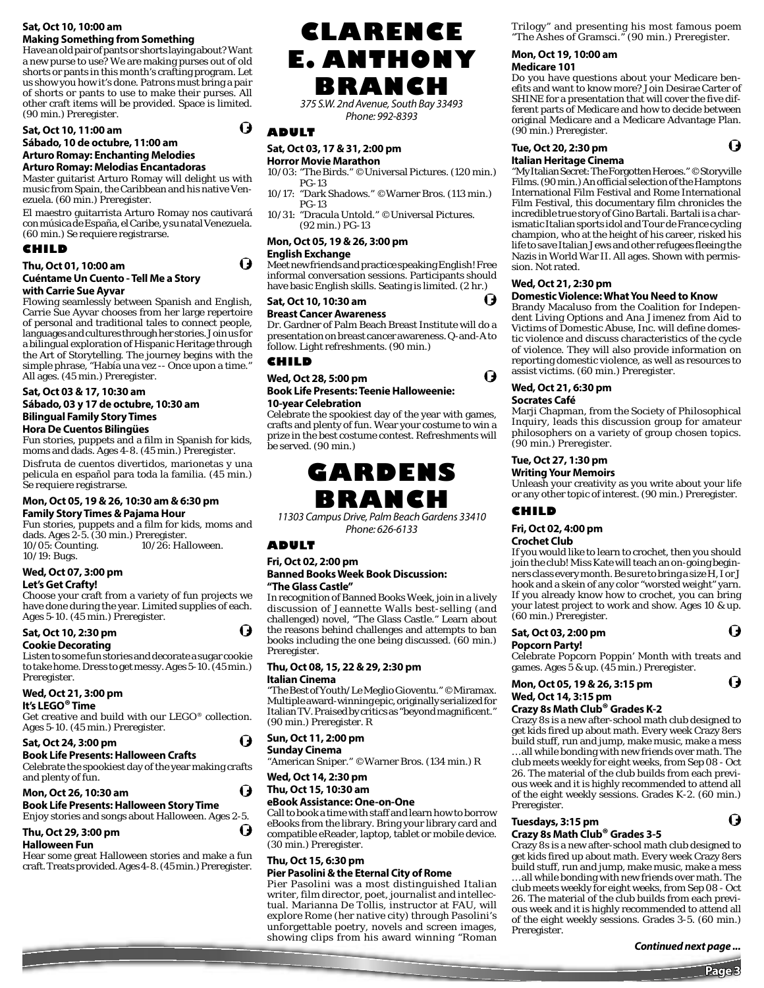#### **Sat, Oct 10, 10:00 am Making Something from Something**

Have an old pair of pants or shorts laying about? Want a new purse to use? We are making purses out of old shorts or pants in this month's crafting program. Let us show you how it's done. Patrons must bring a pair of shorts or pants to use to make their purses. All other craft items will be provided. Space is limited. (90 min.) Preregister.

#### **Sat, Oct 10, 11:00 am**

#### **Sábado, 10 de octubre, 11:00 am Arturo Romay: Enchanting Melodies**

**Arturo Romay: Melodias Encantadoras**

Master guitarist Arturo Romay will delight us with music from Spain, the Caribbean and his native Venezuela. (60 min.) Preregister.

El maestro guitarrista Arturo Romay nos cautivará con música de España, el Caribe, y su natal Venezuela. (60 min.) Se requiere registrarse.

### **CHILD**

## **Thu, Oct 01, 10:00 am**

#### **Cuéntame Un Cuento - Tell Me a Story with Carrie Sue Ayvar**

Flowing seamlessly between Spanish and English, Carrie Sue Ayvar chooses from her large repertoire of personal and traditional tales to connect people, languages and cultures through her stories. Join us for a bilingual exploration of Hispanic Heritage through the Art of Storytelling. The journey begins with the simple phrase, "Había una vez -- Once upon a time." All ages. (45 min.) Preregister.

**Sat, Oct 03 & 17, 10:30 am**

### **Sábado, 03 y 17 de octubre, 10:30 am Bilingual Family Story Times**

### **Hora De Cuentos Bilingües**

Fun stories, puppets and a film in Spanish for kids, moms and dads. Ages 4-8. (45 min.) Preregister.

Disfruta de cuentos divertidos, marionetas y una pelicula en español para toda la familia. (45 min.) Se requiere registrarse.

#### **Mon, Oct 05, 19 & 26, 10:30 am & 6:30 pm Family Story Times & Pajama Hour**

Fun stories, puppets and a film for kids, moms and dads. Ages 2-5. (30 min.) Preregister. 10/05: Counting. 10/19: Bugs. 10/26: Halloween.

#### **Wed, Oct 07, 3:00 pm Let's Get Crafty!**

Choose your craft from a variety of fun projects we have done during the year. Limited supplies of each. Ages 5-10. (45 min.) Preregister.

## **Sat, Oct 10, 2:30 pm**

#### **Cookie Decorating**

Listen to some fun stories and decorate a sugar cookie to take home. Dress to get messy. Ages 5-10. (45 min.) Preregister.

## **Wed, Oct 21, 3:00 pm**

**It's LEGO® Time**

Get creative and build with our LEGO® collection. Ages 5-10. (45 min.) Preregister.

#### **Sat, Oct 24, 3:00 pm**

#### **Book Life Presents: Halloween Crafts**  Celebrate the spookiest day of the year making crafts

and plenty of fun. (J

**Mon, Oct 26, 10:30 am Book Life Presents: Halloween Story Time** Enjoy stories and songs about Halloween. Ages 2-5.

## **Thu, Oct 29, 3:00 pm**

## **Halloween Fun**

Hear some great Halloween stories and make a fun craft. Treats provided. Ages 4-8. (45 min.) Preregister.

## **CLARENCE E. ANTHONY BRANCH**

375 S.W. 2nd Avenue, South Bay 33493 Phone: 992-8393

## **ADULT**

O

O

## **Sat, Oct 03, 17 & 31, 2:00 pm**

**Horror Movie Marathon**

- 10/03: "The Birds." ©Universal Pictures. (120 min.) PG-13
- 10/17: "Dark Shadows." ©Warner Bros. (113 min.) PG-13
- 10/31: "Dracula Untold." ©Universal Pictures. (92 min.) PG-13

#### **Mon, Oct 05, 19 & 26, 3:00 pm English Exchange**

Meet new friends and practice speaking English! Free informal conversation sessions. Participants should have basic English skills. Seating is limited. (2 hr.)

#### **Sat, Oct 10, 10:30 am Breast Cancer Awareness**

Dr. Gardner of Palm Beach Breast Institute will do a presentation on breast cancer awareness. Q-and-A to follow. Light refreshments. (90 min.)

#### **CHILD**

#### **Wed, Oct 28, 5:00 pm Book Life Presents: Teenie Halloweenie: 10-year Celebration**

Celebrate the spookiest day of the year with games, crafts and plenty of fun. Wear your costume to win a prize in the best costume contest. Refreshments will be served. (90 min.)

# **BRANCH**

11303 Campus Drive, Palm Beach Gardens 33410 Phone: 626-6133

## **ADULT**

U

O

#### **Fri, Oct 02, 2:00 pm Banned Books Week Book Discussion: "The Glass Castle"**

In recognition of Banned Books Week, join in a lively discussion of Jeannette Walls best-selling (and challenged) novel, "The Glass Castle." Learn about the reasons behind challenges and attempts to ban books including the one being discussed. (60 min.) Preregister.

#### **Thu, Oct 08, 15, 22 & 29, 2:30 pm Italian Cinema**

"The Best of Youth/Le Meglio Gioventu." ©Miramax. Multiple award-winning epic, originally serialized for Italian TV. Praised by critics as "beyond magnificent." (90 min.) Preregister. R

#### **Sun, Oct 11, 2:00 pm**

**Sunday Cinema**

"American Sniper." ©Warner Bros. (134 min.) R

## **Wed, Oct 14, 2:30 pm**

#### **Thu, Oct 15, 10:30 am eBook Assistance: One-on-One**

Call to book a time with staff and learn how to borrow eBooks from the library. Bring your library card and compatible eReader, laptop, tablet or mobile device. (30 min.) Preregister.

#### **Thu, Oct 15, 6:30 pm**

#### **Pier Pasolini & the Eternal City of Rome**

Pier Pasolini was a most distinguished Italian writer, film director, poet, journalist and intellectual. Marianna De Tollis, instructor at FAU, will explore Rome (her native city) through Pasolini's unforgettable poetry, novels and screen images, showing clips from his award winning "Roman Trilogy" and presenting his most famous poem "The Ashes of Gramsci." (90 min.) Preregister.

#### **Mon, Oct 19, 10:00 am Medicare 101**

Do you have questions about your Medicare benefits and want to know more? Join Desirae Carter of SHINE for a presentation that will cover the five different parts of Medicare and how to decide between original Medicare and a Medicare Advantage Plan. (90 min.) Preregister.

O

#### **Tue, Oct 20, 2:30 pm Italian Heritage Cinema**

"My Italian Secret: The Forgotten Heroes." ©Storyville Films. (90 min.) An official selection of the Hamptons International Film Festival and Rome International Film Festival, this documentary film chronicles the incredible true story of Gino Bartali. Bartali is a charismatic Italian sports idol and Tour de France cycling champion, who at the height of his career, risked his life to save Italian Jews and other refugees fleeing the Nazis in World War II. All ages. Shown with permission. Not rated.

### **Wed, Oct 21, 2:30 pm**

## **Domestic Violence: What You Need to Know**

Brandy Macaluso from the Coalition for Independent Living Options and Ana Jimenez from Aid to Victims of Domestic Abuse, Inc. will define domestic violence and discuss characteristics of the cycle of violence. They will also provide information on reporting domestic violence, as well as resources to assist victims. (60 min.) Preregister.

#### **Wed, Oct 21, 6:30 pm Socrates Café**

Marji Chapman, from the Society of Philosophical Inquiry, leads this discussion group for amateur philosophers on a variety of group chosen topics. (90 min.) Preregister.

## **Tue, Oct 27, 1:30 pm**

#### **Writing Your Memoirs**

Unleash your creativity as you write about your life or any other topic of interest. (90 min.) Preregister.

#### **CHILD**

## **Fri, Oct 02, 4:00 pm**

#### **Crochet Club**

If you would like to learn to crochet, then you should join the club! Miss Kate will teach an on-going begin- $\mathop{\mathsf{ners}}\nolimits$  class every month. Be sure to bring a size  $\mathop{\mathsf{H}}\nolimits, \mathop{\mathsf{Ior}}\nolimits \mathop{\mathsf{J}}\nolimits$ hook and a skein of any color "worsted weight" yarn. If you already know how to crochet, you can bring your latest project to work and show. Ages 10 & up. (60 min.) Preregister.

#### **Sat, Oct 03, 2:00 pm**

**Popcorn Party!**  Celebrate Popcorn Poppin' Month with treats and games. Ages 5 & up. (45 min.) Preregister.

#### **Mon, Oct 05, 19 & 26, 3:15 pm Wed, Oct 14, 3:15 pm**

#### **Crazy 8s Math Club® Grades K-2**

Crazy 8s is a new after-school math club designed to get kids fired up about math. Every week Crazy 8ers build stuff, run and jump, make music, make a mess … all while bonding with new friends over math. The club meets weekly for eight weeks, from Sep 08 - Oct 26. The material of the club builds from each previous week and it is highly recommended to attend all of the eight weekly sessions. Grades K-2. (60 min.) Preregister.

#### **Tuesdays, 3:15 pm Crazy 8s Math Club® Grades 3-5**

### Crazy 8s is a new after-school math club designed to

get kids fired up about math. Every week Crazy 8ers build stuff, run and jump, make music, make a mess … all while bonding with new friends over math. The club meets weekly for eight weeks, from Sep 08 - Oct 26. The material of the club builds from each previous week and it is highly recommended to attend all of the eight weekly sessions. Grades 3-5. (60 min.) Preregister.

**Page 3**

Ō

O

G





A

**GARDENS**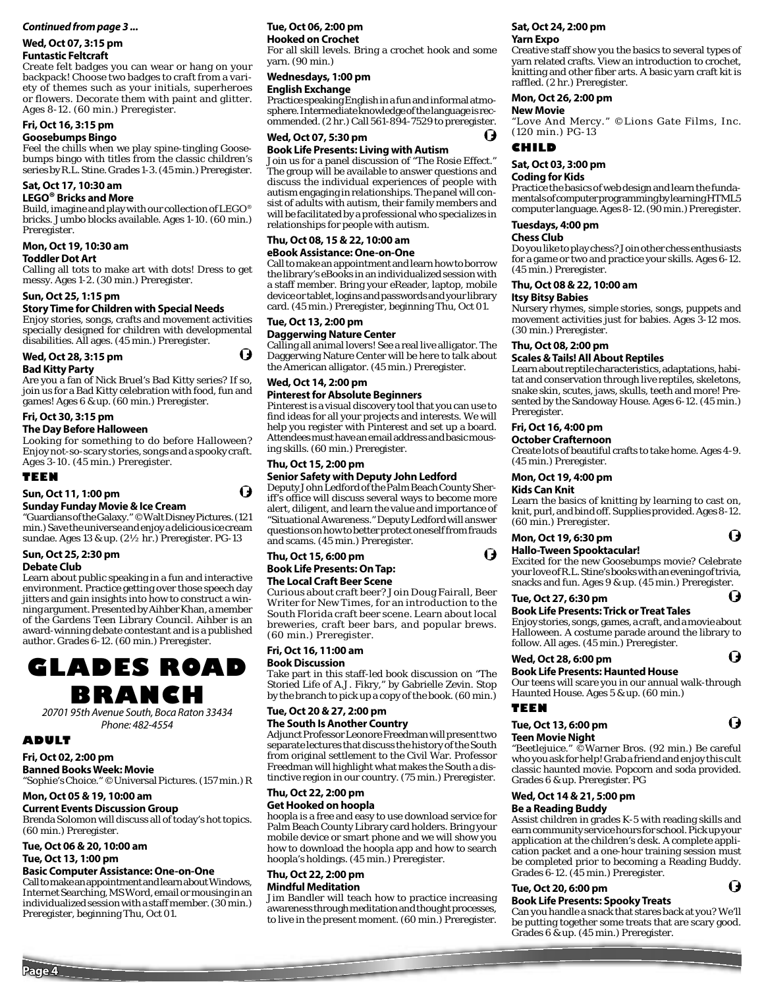#### *Continued from page 3 ...*

## **Wed, Oct 07, 3:15 pm**

**Funtastic Feltcraft**

Create felt badges you can wear or hang on your backpack! Choose two badges to craft from a variety of themes such as your initials, superheroes or flowers. Decorate them with paint and glitter. Ages 8-12. (60 min.) Preregister.

## **Fri, Oct 16, 3:15 pm**

### **Goosebumps Bingo**

Feel the chills when we play spine-tingling Goosebumps bingo with titles from the classic children's series by R.L. Stine. Grades 1-3. (45 min.) Preregister.

#### **Sat, Oct 17, 10:30 am LEGO® Bricks and More**

Build, imagine and play with our collection of LEGO® bricks. Jumbo blocks available. Ages 1-10. (60 min.) Preregister.

## **Mon, Oct 19, 10:30 am**

#### **Toddler Dot Art**

Calling all tots to make art with dots! Dress to get messy. Ages 1-2. (30 min.) Preregister.

#### **Sun, Oct 25, 1:15 pm**

#### **Story Time for Children with Special Needs**

Enjoy stories, songs, crafts and movement activities specially designed for children with developmental disabilities. All ages. (45 min.) Preregister.

#### **Wed, Oct 28, 3:15 pm**

#### **Bad Kitty Party**

Are you a fan of Nick Bruel's Bad Kitty series? If so, join us for a Bad Kitty celebration with food, fun and games! Ages 6 & up. (60 min.) Preregister.

#### **Fri, Oct 30, 3:15 pm**

#### **The Day Before Halloween**

Looking for something to do before Halloween? Enjoy not-so-scary stories, songs and a spooky craft. Ages 3-10. (45 min.) Preregister.

#### **TEEN**

#### **Sun, Oct 11, 1:00 pm**

#### **Sunday Funday Movie & Ice Cream**

"Guardians of the Galaxy." ©Walt Disney Pictures. (121 min.) Save the universe and enjoy a delicious ice cream sundae. Ages 13 & up. (2½ hr.) Preregister. PG-13

#### **Sun, Oct 25, 2:30 pm Debate Club**

Learn about public speaking in a fun and interactive environment. Practice getting over those speech day jitters and gain insights into how to construct a winning argument. Presented by Aihber Khan, a member of the Gardens Teen Library Council. Aihber is an award-winning debate contestant and is a published author. Grades 6-12. (60 min.) Preregister.

## **GLADES ROAD BRANCH**

20701 95th Avenue South, Boca Raton 33434 Phone: 482-4554

#### **ADULT**

**Page 4**

**Fri, Oct 02, 2:00 pm Banned Books Week: Movie** "Sophie's Choice." ©Universal Pictures. (157 min.) R

#### **Mon, Oct 05 & 19, 10:00 am**

#### **Current Events Discussion Group**

Brenda Solomon will discuss all of today's hot topics. (60 min.) Preregister.

#### **Tue, Oct 06 & 20, 10:00 am Tue, Oct 13, 1:00 pm**

#### **Basic Computer Assistance: One-on-One**

Call to make an appointment and learn about Windows, Internet Searching, MS Word, email or mousing in an individualized session with a staff member. (30 min.) Preregister, beginning Thu, Oct 01.

## **Tue, Oct 06, 2:00 pm**

#### **Hooked on Crochet**

For all skill levels. Bring a crochet hook and some yarn. (90 min.)

#### **Wednesdays, 1:00 pm English Exchange**

Practice speaking English in a fun and informal atmosphere. Intermediate knowledge of the language is recommended. (2 hr.) Call 561-894-7529 to preregister.

## **Wed, Oct 07, 5:30 pm**

## **Book Life Presents: Living with Autism**

Join us for a panel discussion of "The Rosie Effect." The group will be available to answer questions and discuss the individual experiences of people with autism engaging in relationships. The panel will consist of adults with autism, their family members and will be facilitated by a professional who specializes in relationships for people with autism.

#### **Thu, Oct 08, 15 & 22, 10:00 am eBook Assistance: One-on-One**

Call to make an appointment and learn how to borrow the library's eBooks in an individualized session with a staff member. Bring your eReader, laptop, mobile device or tablet, logins and passwords and your library card. (45 min.) Preregister, beginning Thu, Oct 01.

#### **Tue, Oct 13, 2:00 pm**

O

Q

#### **Daggerwing Nature Center**

Calling all animal lovers! See a real live alligator. The Daggerwing Nature Center will be here to talk about the American alligator. (45 min.) Preregister.

## **Wed, Oct 14, 2:00 pm**

#### **Pinterest for Absolute Beginners** Pinterest is a visual discovery tool that you can use to

find ideas for all your projects and interests. We will help you register with Pinterest and set up a board. Attendees must have an email address and basic mousing skills. (60 min.) Preregister.

#### **Thu, Oct 15, 2:00 pm**

#### **Senior Safety with Deputy John Ledford**

Deputy John Ledford of the Palm Beach County Sheriff's office will discuss several ways to become more alert, diligent, and learn the value and importance of "Situational Awareness." Deputy Ledford will answer questions on how to better protect oneself from frauds and scams. (45 min.) Preregister.

## **Thu, Oct 15, 6:00 pm Book Life Presents: On Tap:**

**The Local Craft Beer Scene** 

Curious about craft beer? Join Doug Fairall, Beer Writer for New Times, for an introduction to the South Florida craft beer scene. Learn about local breweries, craft beer bars, and popular brews. (60 min.) Preregister.

#### **Fri, Oct 16, 11:00 am**

#### **Book Discussion**

Take part in this staff-led book discussion on "The Storied Life of A.J. Fikry," by Gabrielle Zevin. Stop by the branch to pick up a copy of the book. (60 min.)

#### **Tue, Oct 20 & 27, 2:00 pm The South Is Another Country**

Adjunct Professor Leonore Freedman will present two separate lectures that discuss the history of the South from original settlement to the Civil War. Professor Freedman will highlight what makes the South a distinctive region in our country. (75 min.) Preregister.

#### **Thu, Oct 22, 2:00 pm Get Hooked on hoopla**

hoopla is a free and easy to use download service for Palm Beach County Library card holders. Bring your mobile device or smart phone and we will show you how to download the hoopla app and how to search hoopla's holdings. (45 min.) Preregister.

#### **Thu, Oct 22, 2:00 pm Mindful Meditation**

Jim Bandler will teach how to practice increasing awareness through meditation and thought processes, to live in the present moment. (60 min.) Preregister.

## **Sat, Oct 24, 2:00 pm**

**Yarn Expo** Creative staff show you the basics to several types of yarn related crafts. View an introduction to crochet, knitting and other fiber arts. A basic yarn craft kit is raffled. (2 hr.) Preregister.

#### **Mon, Oct 26, 2:00 pm**

#### **New Movie**

"Love And Mercy." ©Lions Gate Films, Inc. (120 min.) PG-13

#### **CHILD**

 $\boldsymbol{\Omega}$ 

#### **Sat, Oct 03, 3:00 pm**

#### **Coding for Kids**

Practice the basics of web design and learn the fundamentals of computer programming by learning HTML5 computer language. Ages 8-12. (90 min.) Preregister.

## **Tuesdays, 4:00 pm**

#### **Chess Club**

Do you like to play chess? Join other chess enthusiasts for a game or two and practice your skills. Ages 6-12. (45 min.) Preregister.

#### **Thu, Oct 08 & 22, 10:00 am**

**Itsy Bitsy Babies**

Nursery rhymes, simple stories, songs, puppets and movement activities just for babies. Ages 3-12 mos. (30 min.) Preregister.

#### **Thu, Oct 08, 2:00 pm**

#### **Scales & Tails! All About Reptiles**

Learn about reptile characteristics, adaptations, habitat and conservation through live reptiles, skeletons, snake skin, scutes, jaws, skulls, teeth and more! Presented by the Sandoway House. Ages 6-12. (45 min.) Preregister.

#### **Fri, Oct 16, 4:00 pm**

#### **October Crafternoon**

Create lots of beautiful crafts to take home. Ages 4-9. (45 min.) Preregister.

**Mon, Oct 19, 4:00 pm**

#### **Kids Can Knit**

Ó

Learn the basics of knitting by learning to cast on, knit, purl, and bind off. Supplies provided. Ages 8-12. (60 min.) Preregister.

O

A

Q

**13** 

#### **Mon, Oct 19, 6:30 pm Hallo-Tween Spooktacular!**

Excited for the new Goosebumps movie? Celebrate your love of R.L. Stine's books with an evening of trivia, snacks and fun. Ages 9 & up. (45 min.) Preregister.

#### **Tue, Oct 27, 6:30 pm**

#### **Book Life Presents: Trick or Treat Tales**

Enjoy stories, songs, games, a craft, and a movie about Halloween. A costume parade around the library to follow. All ages. (45 min.) Preregister. O

#### **Wed, Oct 28, 6:00 pm**

**Tue, Oct 13, 6:00 pm Teen Movie Night**

Grades 6 & up. Preregister. PG **Wed, Oct 14 & 21, 5:00 pm Be a Reading Buddy** 

Grades 6-12. (45 min.) Preregister.

**Book Life Presents: Spooky Treats**

Grades 6 & up. (45 min.) Preregister.

**Tue, Oct 20, 6:00 pm** 

**TEEN**

#### **Book Life Presents: Haunted House**

Our teens will scare you in our annual walk-through Haunted House. Ages 5 & up. (60 min.)

"Beetlejuice." ©Warner Bros. (92 min.) Be careful who you ask for help! Grab a friend and enjoy this cult classic haunted movie. Popcorn and soda provided.

Assist children in grades K-5 with reading skills and earn community service hours for school. Pick up your application at the children's desk. A complete application packet and a one-hour training session must be completed prior to becoming a Reading Buddy.

Can you handle a snack that stares back at you? We'll be putting together some treats that are scary good.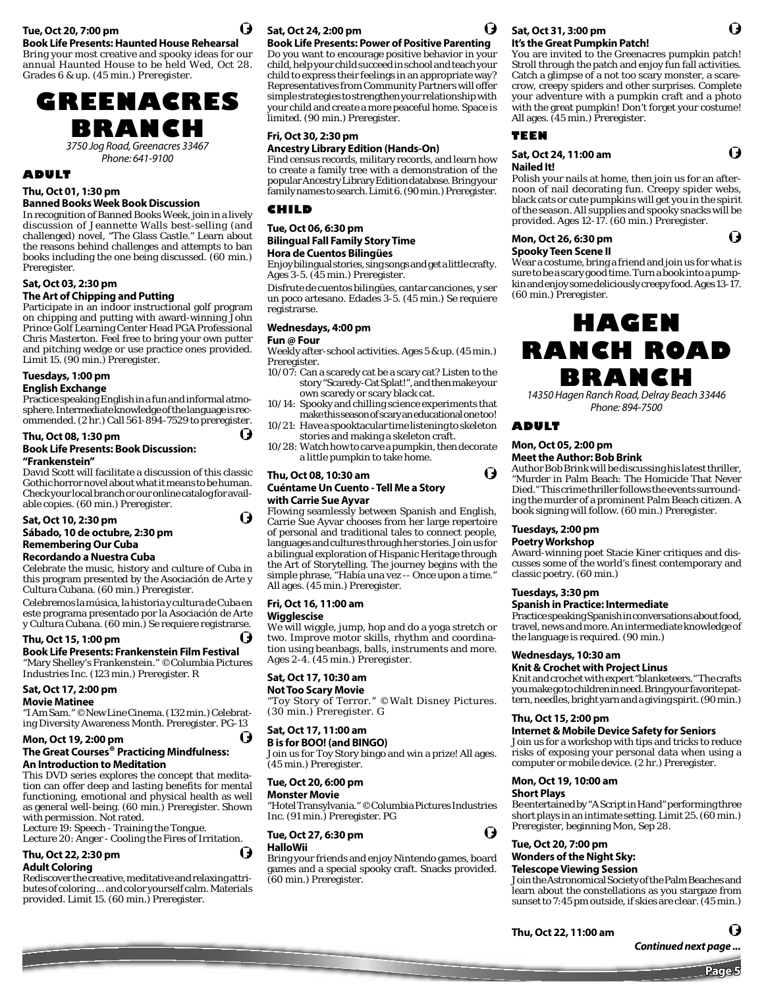### **Tue, Oct 20, 7:00 pm**

**Book Life Presents: Haunted House Rehearsal**

Bring your most creative and spooky ideas for our annual Haunted House to be held Wed, Oct 28. Grades 6 & up. (45 min.) Preregister.



3750 Jog Road, Greenacres 33467 Phone: 641-9100

#### **ADULT**

**Thu, Oct 01, 1:30 pm**

#### **Banned Books Week Book Discussion**

In recognition of Banned Books Week, join in a lively discussion of Jeannette Walls best-selling (and challenged) novel, "The Glass Castle." Learn about the reasons behind challenges and attempts to ban books including the one being discussed. (60 min.) Preregister.

## **Sat, Oct 03, 2:30 pm**

#### **The Art of Chipping and Putting**

Participate in an indoor instructional golf program on chipping and putting with award-winning John Prince Golf Learning Center Head PGA Professional Chris Masterton. Feel free to bring your own putter and pitching wedge or use practice ones provided. Limit 15. (90 min.) Preregister.

## **Tuesdays, 1:00 pm**

**English Exchange**

Practice speaking English in a fun and informal atmosphere. Intermediate knowledge of the language is recommended. (2 hr.) Call 561-894-7529 to preregister.

## **Thu, Oct 08, 1:30 pm**

#### **Book Life Presents: Book Discussion: "Frankenstein"**

David Scott will facilitate a discussion of this classic Gothic horror novel about what it means to be human. Check your local branch or our online catalog for available copies. (60 min.) Preregister.

#### **Sat, Oct 10, 2:30 pm Sábado, 10 de octubre, 2:30 pm Remembering Our Cuba**

#### **Recordando a Nuestra Cuba**

Celebrate the music, history and culture of Cuba in this program presented by the Asociación de Arte y Cultura Cubana. (60 min.) Preregister.

Celebremos la música, la historia y cultura de Cuba en este programa presentado por la Asociación de Arte y Cultura Cubana. (60 min.) Se requiere registrarse.

**Thu, Oct 15, 1:00 pm Book Life Presents: Frankenstein Film Festival**  "Mary Shelley's Frankenstein." ©Columbia Pictures Industries Inc. (123 min.) Preregister. R

## **Sat, Oct 17, 2:00 pm**

#### **Movie Matinee**

"I Am Sam." ©New Line Cinema. (132 min.) Celebrating Diversity Awareness Month. Preregister. PG-13

#### **Mon, Oct 19, 2:00 pm**

#### **The Great Courses® Practicing Mindfulness: An Introduction to Meditation**

This DVD series explores the concept that meditation can offer deep and lasting benefits for mental functioning, emotional and physical health as well as general well-being. (60 min.) Preregister. Shown with permission. Not rated.

Lecture 19: Speech - Training the Tongue. Lecture 20: Anger - Cooling the Fires of Irritation. Đ

#### **Thu, Oct 22, 2:30 pm Adult Coloring**

Rediscover the creative, meditative and relaxing attributes of coloring ... and color yourself calm. Materials provided. Limit 15. (60 min.) Preregister.

## **Sat, Oct 24, 2:00 pm**

## **Book Life Presents: Power of Positive Parenting**

Do you want to encourage positive behavior in your child, help your child succeed in school and teach your child to express their feelings in an appropriate way? Representatives from Community Partners will offer simple strategies to strengthen your relationship with your child and create a more peaceful home. Space is limited. (90 min.) Preregister.

## **Fri, Oct 30, 2:30 pm**

#### **Ancestry Library Edition (Hands-On)**

Find census records, military records, and learn how to create a family tree with a demonstration of the popular Ancestry Library Edition database. Bring your family names to search. Limit 6. (90 min.) Preregister.

#### **CHILD**

#### **Tue, Oct 06, 6:30 pm Bilingual Fall Family Story Time Hora de Cuentos Bilingües**

Enjoy bilingual stories, sing songs and get a little crafty. Ages 3-5. (45 min.) Preregister.

Disfrute de cuentos bilingües, cantar canciones, y ser un poco artesano. Edades 3-5. (45 min.) Se requiere registrarse.

#### **Wednesdays, 4:00 pm**

#### **Fun @ Four**

(J

H

Weekly after-school activities. Ages 5 & up. (45 min.) Preregister.

- 10/07: Can a scaredy cat be a scary cat? Listen to the story "Scaredy-Cat Splat!", and then make your own scaredy or scary black cat.
- 10/14: Spooky and chilling science experiments that make this season of scary an educational one too! 10/21: Have a spooktacular time listening to skeleton
- stories and making a skeleton craft.
- 10/28: Watch how to carve a pumpkin, then decorate a little pumpkin to take home.

#### **Thu, Oct 08, 10:30 am**

#### **Cuéntame Un Cuento - Tell Me a Story with Carrie Sue Ayvar**

Flowing seamlessly between Spanish and English, Carrie Sue Ayvar chooses from her large repertoire of personal and traditional tales to connect people, languages and cultures through her stories. Join us for a bilingual exploration of Hispanic Heritage through the Art of Storytelling. The journey begins with the simple phrase, "Había una vez -- Once upon a time." All ages. (45 min.) Preregister.

#### **Fri, Oct 16, 11:00 am**

#### **Wigglescise**

We will wiggle, jump, hop and do a yoga stretch or two. Improve motor skills, rhythm and coordination using beanbags, balls, instruments and more. Ages 2-4. (45 min.) Preregister.

#### **Sat, Oct 17, 10:30 am**

#### **Not Too Scary Movie**

"Toy Story of Terror." ©Walt Disney Pictures. (30 min.) Preregister. G

#### **Sat, Oct 17, 11:00 am**

#### **B is for BOO! (and BINGO)**

Join us for Toy Story bingo and win a prize! All ages. (45 min.) Preregister.

#### **Tue, Oct 20, 6:00 pm**

**Monster Movie** "Hotel Transylvania." ©Columbia Pictures Industries Inc. (91 min.) Preregister. PG

## **Tue, Oct 27, 6:30 pm**

### **HalloWii**

Bring your friends and enjoy Nintendo games, board games and a special spooky craft. Snacks provided. (60 min.) Preregister.



#### **Sat, Oct 31, 3:00 pm It's the Great Pumpkin Patch!**

You are invited to the Greenacres pumpkin patch! Stroll through the patch and enjoy fun fall activities. Catch a glimpse of a not too scary monster, a scarecrow, creepy spiders and other surprises. Complete your adventure with a pumpkin craft and a photo with the great pumpkin! Don't forget your costume! All ages. (45 min.) Preregister.

O

G

G

#### **TEEN**

#### **Sat, Oct 24, 11:00 am Nailed It!**

Polish your nails at home, then join us for an afternoon of nail decorating fun. Creepy spider webs, black cats or cute pumpkins will get you in the spirit of the season. All supplies and spooky snacks will be provided. Ages 12-17. (60 min.) Preregister.

### **Mon, Oct 26, 6:30 pm**

**Spooky Teen Scene II**

Wear a costume, bring a friend and join us for what is sure to be a scary good time. Turn a book into a pumpkin and enjoy some deliciously creepy food. Ages 13-17. (60 min.) Preregister.

## **HAGEN RANCH ROAD BRANCH**

14350 Hagen Ranch Road, Delray Beach 33446 Phone: 894-7500

#### **ADULT**

Ō

o

#### **Mon, Oct 05, 2:00 pm Meet the Author: Bob Brink**

Author Bob Brink will be discussing his latest thriller,

"Murder in Palm Beach: The Homicide That Never Died." This crime thriller follows the events surrounding the murder of a prominent Palm Beach citizen. A book signing will follow. (60 min.) Preregister.

#### **Tuesdays, 2:00 pm**

#### **Poetry Workshop**

Award-winning poet Stacie Kiner critiques and discusses some of the world's finest contemporary and classic poetry. (60 min.)

#### **Tuesdays, 3:30 pm**

#### **Spanish in Practice: Intermediate**

Practice speaking Spanish in conversations about food, travel, news and more. An intermediate knowledge of the language is required. (90 min.)

#### **Wednesdays, 10:30 am**

#### **Knit & Crochet with Project Linus**

Knit and crochet with expert "blanketeers." The crafts you make go to children in need. Bring your favorite pattern, needles, bright yarn and a giving spirit. (90 min.)

#### **Thu, Oct 15, 2:00 pm**

**Internet & Mobile Device Safety for Seniors**

Join us for a workshop with tips and tricks to reduce risks of exposing your personal data when using a computer or mobile device. (2 hr.) Preregister.

## **Mon, Oct 19, 10:00 am**

**Short Plays** Be entertained by "A Script in Hand" performing three short plays in an intimate setting. Limit 25. (60 min.) Preregister, beginning Mon, Sep 28.



## **Telescope Viewing Session**

Join the Astronomical Society of the Palm Beaches and learn about the constellations as you stargaze from sunset to 7:45 pm outside, if skies are clear. (45 min.)

*Continued next page ...*

**Page 5**

Q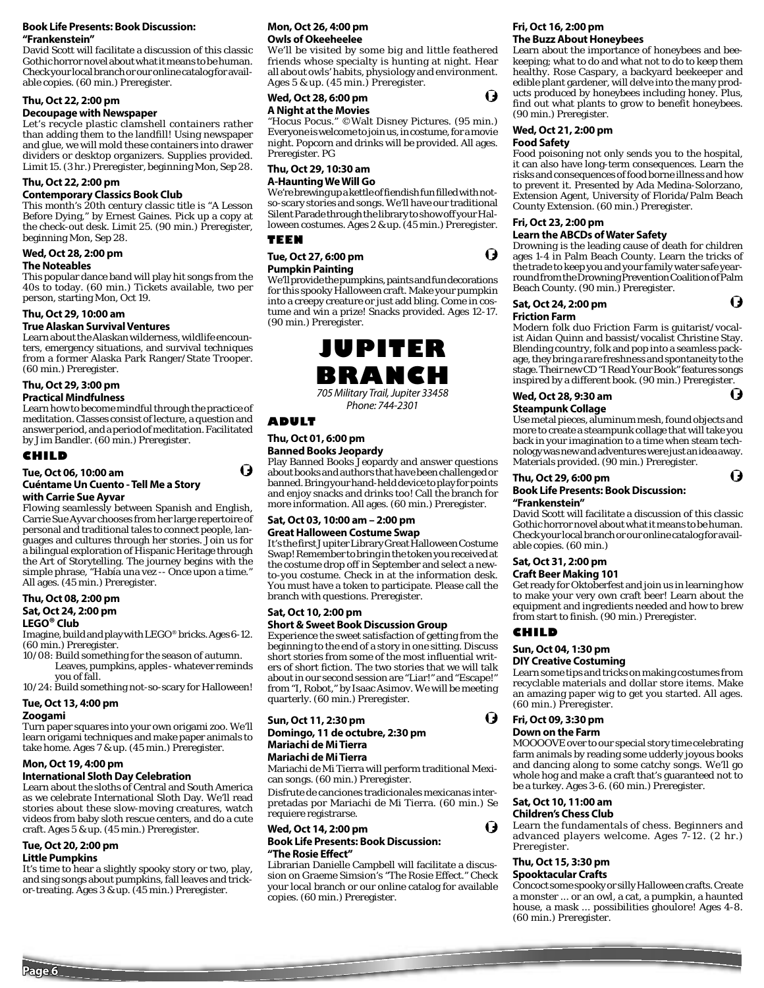#### **Book Life Presents: Book Discussion: "Frankenstein"**

David Scott will facilitate a discussion of this classic Gothic horror novel about what it means to be human. Check your local branch or our online catalog for available copies. (60 min.) Preregister.

#### **Thu, Oct 22, 2:00 pm**

### **Decoupage with Newspaper**

Let's recycle plastic clamshell containers rather than adding them to the landfill! Using newspaper and glue, we will mold these containers into drawer dividers or desktop organizers. Supplies provided. Limit 15. (3 hr.) Preregister, beginning Mon, Sep 28.

#### **Thu, Oct 22, 2:00 pm**

#### **Contemporary Classics Book Club**

This month's 20th century classic title is "A Lesson Before Dying," by Ernest Gaines. Pick up a copy at the check-out desk. Limit 25. (90 min.) Preregister, beginning Mon, Sep 28.

#### **Wed, Oct 28, 2:00 pm The Noteables**

This popular dance band will play hit songs from the

40s to today. (60 min.) Tickets available, two per person, starting Mon, Oct 19.

## **Thu, Oct 29, 10:00 am**

#### **True Alaskan Survival Ventures**

Learn about the Alaskan wilderness, wildlife encounters, emergency situations, and survival techniques from a former Alaska Park Ranger/State Trooper. (60 min.) Preregister.

## **Thu, Oct 29, 3:00 pm**

**Practical Mindfulness**

Learn how to become mindful through the practice of meditation. Classes consist of lecture, a question and answer period, and a period of meditation. Facilitated by Jim Bandler. (60 min.) Preregister.

#### **CHILD**

## **Tue, Oct 06, 10:00 am Cuéntame Un Cuento - Tell Me a Story**

**with Carrie Sue Ayvar**  Flowing seamlessly between Spanish and English, Carrie Sue Ayvar chooses from her large repertoire of personal and traditional tales to connect people, languages and cultures through her stories. Join us for a bilingual exploration of Hispanic Heritage through the Art of Storytelling. The journey begins with the simple phrase, "Había una vez -- Once upon a time." All ages. (45 min.) Preregister.

#### **Thu, Oct 08, 2:00 pm Sat, Oct 24, 2:00 pm LEGO® Club**

Imagine, build and play with LEGO® bricks. Ages 6-12. (60 min.) Preregister.

10/08: Build something for the season of autumn. Leaves, pumpkins, apples - whatever reminds you of fall.

10/24: Build something not-so-scary for Halloween!

## **Tue, Oct 13, 4:00 pm**

#### **Zoogami**

Turn paper squares into your own origami zoo. We'll learn origami techniques and make paper animals to take home. Ages 7 & up. (45 min.) Preregister.

#### **Mon, Oct 19, 4:00 pm**

#### **International Sloth Day Celebration**

Learn about the sloths of Central and South America as we celebrate International Sloth Day. We'll read stories about these slow-moving creatures, watch videos from baby sloth rescue centers, and do a cute craft. Ages 5 & up. (45 min.) Preregister.

## **Tue, Oct 20, 2:00 pm**

**Little Pumpkins**

It's time to hear a slightly spooky story or two, play, and sing songs about pumpkins, fall leaves and trickor-treating. Ages 3 & up. (45 min.) Preregister.

#### **Mon, Oct 26, 4:00 pm Owls of Okeeheelee**

We'll be visited by some big and little feathered friends whose specialty is hunting at night. Hear all about owls' habits, physiology and environment. Ages 5 & up. (45 min.) Preregister.

#### **Wed, Oct 28, 6:00 pm A Night at the Movies**

"Hocus Pocus." ©Walt Disney Pictures. (95 min.) Everyone is welcome to join us, in costume, for a movie night. Popcorn and drinks will be provided. All ages. Preregister. PG

#### **Thu, Oct 29, 10:30 am A-Haunting We Will Go**

We're brewing up a kettle of fiendish fun filled with notso-scary stories and songs. We'll have our traditional Silent Parade through the library to show off your Halloween costumes. Ages 2 & up. (45 min.) Preregister.

#### **TEEN**

**Tue, Oct 27, 6:00 pm** 

#### **Pumpkin Painting**

We'll provide the pumpkins, paints and fun decorations for this spooky Halloween craft. Make your pumpkin into a creepy creature or just add bling. Come in costume and win a prize! Snacks provided. Ages 12-17. (90 min.) Preregister.



Phone: 744-2301

#### **ADULT**

O

## **Thu, Oct 01, 6:00 pm**

## **Banned Books Jeopardy**

Play Banned Books Jeopardy and answer questions about books and authors that have been challenged or banned. Bring your hand-held device to play for points and enjoy snacks and drinks too! Call the branch for more information. All ages. (60 min.) Preregister.

#### **Sat, Oct 03, 10:00 am – 2:00 pm Great Halloween Costume Swap**

It's the first Jupiter Library Great Halloween Costume Swap! Remember to bring in the token you received at the costume drop off in September and select a newto-you costume. Check in at the information desk. You must have a token to participate. Please call the branch with questions. Preregister.

## **Sat, Oct 10, 2:00 pm**

#### **Short & Sweet Book Discussion Group**

Experience the sweet satisfaction of getting from the beginning to the end of a story in one sitting. Discuss short stories from some of the most influential writers of short fiction. The two stories that we will talk about in our second session are "Liar!" and "Escape!" from "I, Robot," by Isaac Asimov. We will be meeting quarterly. (60 min.) Preregister.

#### **Sun, Oct 11, 2:30 pm Domingo, 11 de octubre, 2:30 pm Mariachi de Mi Tierra Mariachi de Mi Tierra**

Mariachi de Mi Tierra will perform traditional Mexican songs. (60 min.) Preregister.

Disfrute de canciones tradicionales mexicanas interpretadas por Mariachi de Mi Tierra. (60 min.) Se requiere registrarse.

**Wed, Oct 14, 2:00 pm Book Life Presents: Book Discussion: "The Rosie Eff ect"** 

Librarian Danielle Campbell will facilitate a discussion on Graeme Simsion's "The Rosie Effect." Check your local branch or our online catalog for available copies. (60 min.) Preregister.

#### **Fri, Oct 16, 2:00 pm The Buzz About Honeybees**

Learn about the importance of honeybees and beekeeping; what to do and what not to do to keep them healthy. Rose Caspary, a backyard beekeeper and edible plant gardener, will delve into the many products produced by honeybees including honey. Plus, find out what plants to grow to benefit honeybees. (90 min.) Preregister.

### **Wed, Oct 21, 2:00 pm**

#### **Food Safety**

O

O

Food poisoning not only sends you to the hospital, it can also have long-term consequences. Learn the risks and consequences of food borne illness and how to prevent it. Presented by Ada Medina-Solorzano, Extension Agent, University of Florida/Palm Beach County Extension. (60 min.) Preregister.

## **Fri, Oct 23, 2:00 pm**

**Learn the ABCDs of Water Safety** Drowning is the leading cause of death for children ages 1-4 in Palm Beach County. Learn the tricks of

the trade to keep you and your family water safe yearround from the Drowning Prevention Coalition of Palm

#### Beach County. (90 min.) Preregister. **Sat, Oct 24, 2:00 pm**

O

14

O

## **Friction Farm**

Modern folk duo Friction Farm is guitarist/vocalist Aidan Quinn and bassist/vocalist Christine Stay. Blending country, folk and pop into a seamless package, they bring a rare freshness and spontaneity to the stage. Their new CD "I Read Your Book" features songs inspired by a different book. (90 min.) Preregister.

### **Wed, Oct 28, 9:30 am**

#### **Steampunk Collage**

Use metal pieces, aluminum mesh, found objects and more to create a steampunk collage that will take you back in your imagination to a time when steam technology was new and adventures were just an idea away. Materials provided. (90 min.) Preregister.

#### **Thu, Oct 29, 6:00 pm**

#### **Book Life Presents: Book Discussion:**

#### **"Frankenstein"**

David Scott will facilitate a discussion of this classic Gothic horror novel about what it means to be human. Check your local branch or our online catalog for available copies. (60 min.)

#### **Sat, Oct 31, 2:00 pm**

#### **Craft Beer Making 101**

Get ready for Oktoberfest and join us in learning how to make your very own craft beer! Learn about the equipment and ingredients needed and how to brew from start to finish. (90 min.) Preregister.

#### **CHILD**

O

I)

#### **Sun, Oct 04, 1:30 pm**

#### **DIY Creative Costuming**

Learn some tips and tricks on making costumes from recyclable materials and dollar store items. Make an amazing paper wig to get you started. All ages. (60 min.) Preregister.

#### **Fri, Oct 09, 3:30 pm Down on the Farm**

MOOOOVE over to our special story time celebrating farm animals by reading some udderly joyous books and dancing along to some catchy songs. We'll go whole hog and make a craft that's guaranteed not to be a turkey. Ages 3-6. (60 min.) Preregister.

#### **Sat, Oct 10, 11:00 am Children's Chess Club**

Learn the fundamentals of chess. Beginners and advanced players welcome. Ages 7-12. (2 hr.) Preregister.

#### **Thu, Oct 15, 3:30 pm**

#### **Spooktacular Crafts**

Concoct some spooky or silly Halloween crafts. Create a monster ... or an owl, a cat, a pumpkin, a haunted house, a mask ... possibilities ghoulore! Ages 4-8. (60 min.) Preregister.

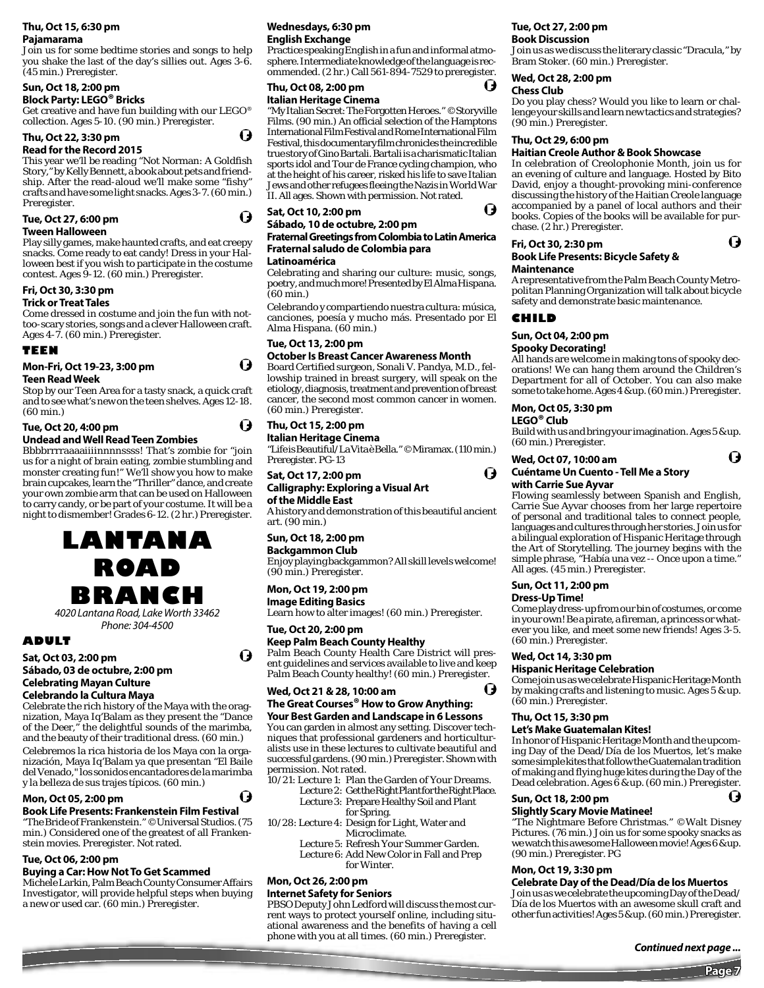## **Thu, Oct 15, 6:30 pm**

**Pajamarama**

Join us for some bedtime stories and songs to help you shake the last of the day's sillies out. Ages 3-6. (45 min.) Preregister.

### **Sun, Oct 18, 2:00 pm**

## **Block Party: LEGO® Bricks**

Get creative and have fun building with our LEGO® collection. Ages 5-10. (90 min.) Preregister.

#### **Thu, Oct 22, 3:30 pm**

## **Read for the Record 2015**

This year we'll be reading "Not Norman: A Goldfish Story," by Kelly Bennett, a book about pets and friendship. After the read-aloud we'll make some "fishy" crafts and have some light snacks. Ages 3-7. (60 min.) Preregister.

#### **Tue, Oct 27, 6:00 pm**

#### **Tween Halloween**

Play silly games, make haunted crafts, and eat creepy snacks. Come ready to eat candy! Dress in your Halloween best if you wish to participate in the costume contest. Ages 9-12. (60 min.) Preregister.

### **Fri, Oct 30, 3:30 pm**

#### **Trick or Treat Tales**

Come dressed in costume and join the fun with nottoo-scary stories, songs and a clever Halloween craft. Ages 4-7. (60 min.) Preregister.

#### **TEEN**

## **Mon-Fri, Oct 19-23, 3:00 pm**

#### **Teen Read Week**

Stop by our Teen Area for a tasty snack, a quick craft and to see what's new on the teen shelves. Ages 12-18. (60 min.)

#### **Tue, Oct 20, 4:00 pm Undead and Well Read Teen Zombies**

Bbbbrrrraaaaiiiinnnnssss! That's zombie for "join us for a night of brain eating, zombie stumbling and monster creating fun!" We'll show you how to make brain cupcakes, learn the "Thriller" dance, and create your own zombie arm that can be used on Halloween to carry candy, or be part of your costume. It will be a night to dismember! Grades 6-12. (2 hr.) Preregister.



4020 Lantana Road, Lake Worth 33462 Phone: 304-4500

## **ADULT**

## **Sat, Oct 03, 2:00 pm Sábado, 03 de octubre, 2:00 pm Celebrating Mayan Culture**

**Celebrando la Cultura Maya**

Celebrate the rich history of the Maya with the oragnization, Maya Iq'Balam as they present the "Dance of the Deer," the delightful sounds of the marimba, and the beauty of their traditional dress. (60 min.)

Celebremos la rica historia de los Maya con la organización, Maya Iq'Balam ya que presentan "El Baile del Venado," los sonidos encantadores de la marimba y la belleza de sus trajes típicos. (60 min.)

#### **Mon, Oct 05, 2:00 pm**

#### **Book Life Presents: Frankenstein Film Festival**

"The Bride of Frankenstein." ©Universal Studios. (75 min.) Considered one of the greatest of all Frankenstein movies. Preregister. Not rated.

#### **Tue, Oct 06, 2:00 pm**

#### **Buying a Car: How Not To Get Scammed**

Michele Larkin, Palm Beach County Consumer Affairs Investigator, will provide helpful steps when buying a new or used car. (60 min.) Preregister.

#### **Wednesdays, 6:30 pm English Exchange**

Practice speaking English in a fun and informal atmosphere. Intermediate knowledge of the language is recommended. (2 hr.) Call 561-894-7529 to preregister.

#### **Thu, Oct 08, 2:00 pm Italian Heritage Cinema**

Q

O

O

O

O

Ø

"My Italian Secret: The Forgotten Heroes." ©Storyville Films. (90 min.) An official selection of the Hamptons International Film Festival and Rome International Film Festival, this documentary film chronicles the incredible true story of Gino Bartali. Bartali is a charismatic Italian sports idol and Tour de France cycling champion, who at the height of his career, risked his life to save Italian Jews and other refugees fleeing the Nazis in World War II. All ages. Shown with permission. Not rated.

## **Sat, Oct 10, 2:00 pm**

#### **Sábado, 10 de octubre, 2:00 pm Fraternal Greetings from Colombia to Latin America Fraternal saludo de Colombia para**

#### **Latinoamérica**

Celebrating and sharing our culture: music, songs, poetry, and much more! Presented by El Alma Hispana. (60 min.)

Celebrando y compartiendo nuestra cultura: música, canciones, poesía y mucho más. Presentado por El Alma Hispana. (60 min.)

#### **Tue, Oct 13, 2:00 pm**

#### **October Is Breast Cancer Awareness Month**

Board Certified surgeon, Sonali V. Pandya, M.D., fellowship trained in breast surgery, will speak on the etiology, diagnosis, treatment and prevention of breast cancer, the second most common cancer in women. (60 min.) Preregister.

### **Thu, Oct 15, 2:00 pm**

**Italian Heritage Cinema** "Life is Beautiful/La Vita è Bella." ©Miramax. (110 min.) Preregister. PG-13

## **Sat, Oct 17, 2:00 pm**

#### **Calligraphy: Exploring a Visual Art of the Middle East**

A history and demonstration of this beautiful ancient art. (90 min.)

#### **Sun, Oct 18, 2:00 pm**

**Backgammon Club** Enjoy playing backgammon? All skill levels welcome! (90 min.) Preregister.

#### **Mon, Oct 19, 2:00 pm**

**Image Editing Basics** Learn how to alter images! (60 min.) Preregister.

#### **Tue, Oct 20, 2:00 pm**

**Keep Palm Beach County Healthy**

Palm Beach County Health Care District will present guidelines and services available to live and keep Palm Beach County healthy! (60 min.) Preregister.

## **Wed, Oct 21 & 28, 10:00 am**

#### **The Great Courses® How to Grow Anything: Your Best Garden and Landscape in 6 Lessons**

You can garden in almost any setting. Discover techniques that professional gardeners and horticulturalists use in these lectures to cultivate beautiful and successful gardens. (90 min.) Preregister. Shown with permission. Not rated.

- 10/21: Lecture 1: Plan the Garden of Your Dreams. Lecture 2: Get the Right Plant for the Right Place.
	- Lecture 3: Prepare Healthy Soil and Plant for Spring.
- 10/28: Lecture 4: Design for Light, Water and Microclimate.

 Lecture 5: Refresh Your Summer Garden. Lecture 6: Add New Color in Fall and Prep

for Winter.

## **Mon, Oct 26, 2:00 pm**

#### **Internet Safety for Seniors**

PBSO Deputy John Ledford will discuss the most current ways to protect yourself online, including situational awareness and the benefits of having a cell phone with you at all times. (60 min.) Preregister.

## **Tue, Oct 27, 2:00 pm**

#### **Book Discussion**

Join us as we discuss the literary classic "Dracula," by Bram Stoker. (60 min.) Preregister.

#### **Wed, Oct 28, 2:00 pm**

#### **Chess Club**

H

I)

U

O

Do you play chess? Would you like to learn or challenge your skills and learn new tactics and strategies? (90 min.) Preregister.

#### **Thu, Oct 29, 6:00 pm**

#### **Haitian Creole Author & Book Showcase**

In celebration of Creolophonie Month, join us for an evening of culture and language. Hosted by Bito David, enjoy a thought-provoking mini-conference discussing the history of the Haitian Creole language accompanied by a panel of local authors and their books. Copies of the books will be available for purchase. (2 hr.) Preregister.

O

O

## **Fri, Oct 30, 2:30 pm**

#### **Book Life Presents: Bicycle Safety & Maintenance**

A representative from the Palm Beach County Metropolitan Planning Organization will talk about bicycle safety and demonstrate basic maintenance.

#### **CHILD**

## **Sun, Oct 04, 2:00 pm**

#### **Spooky Decorating!**

All hands are welcome in making tons of spooky decorations! We can hang them around the Children's Department for all of October. You can also make some to take home. Ages 4 & up. (60 min.) Preregister.

#### **Mon, Oct 05, 3:30 pm**

#### **LEGO® Club**

Build with us and bring your imagination. Ages 5 & up. (60 min.) Preregister.

#### **Wed, Oct 07, 10:00 am Cuéntame Un Cuento - Tell Me a Story with Carrie Sue Ayvar**

Flowing seamlessly between Spanish and English, Carrie Sue Ayvar chooses from her large repertoire of personal and traditional tales to connect people, languages and cultures through her stories. Join us for a bilingual exploration of Hispanic Heritage through the Art of Storytelling. The journey begins with the simple phrase, "Había una vez -- Once upon a time." All ages. (45 min.) Preregister.

## **Sun, Oct 11, 2:00 pm**

#### **Dress-Up Time!**

Come play dress-up from our bin of costumes, or come in your own! Be a pirate, a fireman, a princess or whatever you like, and meet some new friends! Ages 3-5. (60 min.) Preregister.

## **Wed, Oct 14, 3:30 pm**

#### **Hispanic Heritage Celebration**

Come join us as we celebrate Hispanic Heritage Month by making crafts and listening to music. Ages 5 & up. (60 min.) Preregister.

#### **Thu, Oct 15, 3:30 pm**

#### **Let's Make Guatemalan Kites!**

In honor of Hispanic Heritage Month and the upcoming Day of the Dead/Día de los Muertos, let's make some simple kites that follow the Guatemalan tradition of making and flying huge kites during the Day of the Dead celebration. Ages 6 & up. (60 min.) Preregister.

"The Nightmare Before Christmas." ©Walt Disney Pictures. (76 min.) Join us for some spooky snacks as we watch this awesome Halloween movie! Ages 6 & up.

**Celebrate Day of the Dead/Día de los Muertos** Join us as we celebrate the upcoming Day of the Dead/ Día de los Muertos with an awesome skull craft and other fun activities! Ages 5 & up. (60 min.) Preregister.

**Page 7**

( )

*Continued next page ...*

#### **Sun, Oct 18, 2:00 pm Slightly Scary Movie Matinee!**

(90 min.) Preregister. PG **Mon, Oct 19, 3:30 pm**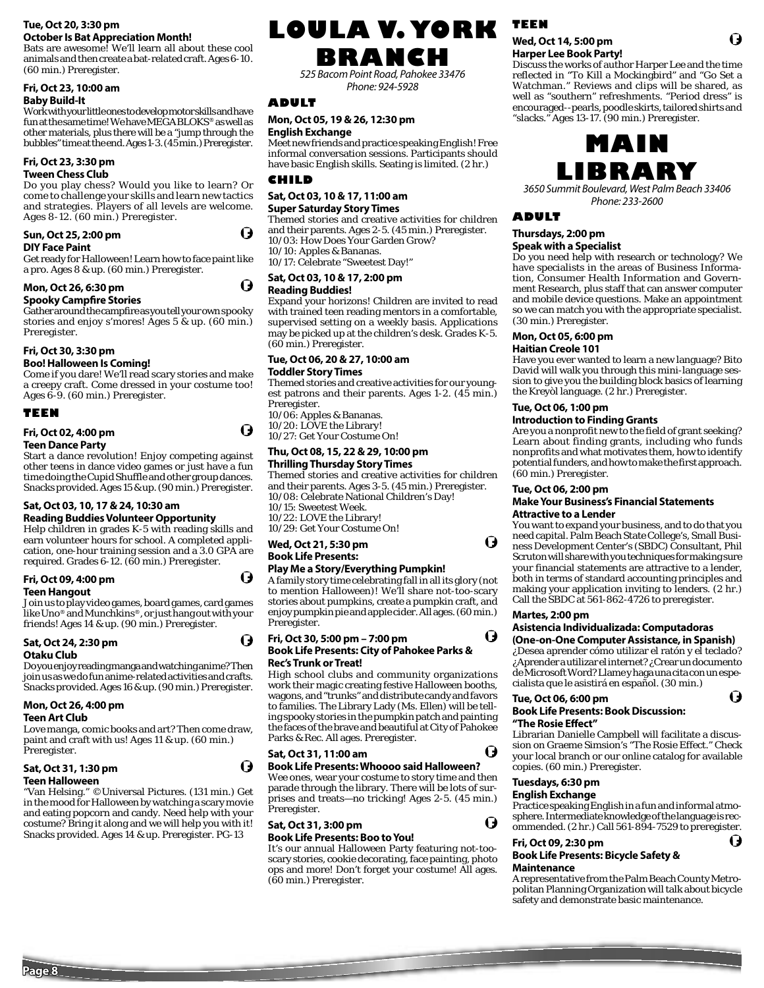#### **Tue, Oct 20, 3:30 pm October Is Bat Appreciation Month!**

Bats are awesome! We'll learn all about these cool animals and then create a bat-related craft. Ages 6-10. (60 min.) Preregister.

## **Fri, Oct 23, 10:00 am**

#### **Baby Build-It**

Work with your little ones to develop motor skills and have fun at the same time! We have MEGA BLOKS® as well as other materials, plus there will be a "jump through the bubbles" time at the end. Ages 1-3. (45 min.) Preregister.

#### **Fri, Oct 23, 3:30 pm Tween Chess Club**

Do you play chess? Would you like to learn? Or come to challenge your skills and learn new tactics and strategies. Players of all levels are welcome. Ages 8-12. (60 min.) Preregister.

#### **Sun, Oct 25, 2:00 pm**

#### **DIY Face Paint**

Get ready for Halloween! Learn how to face paint like a pro. Ages 8 & up. (60 min.) Preregister.

## **Mon, Oct 26, 6:30 pm**

## **Spooky Campfire Stories**

Gather around the campfire as you tell your own spooky stories and enjoy s'mores! Ages 5 & up. (60 min.) Preregister.

## **Fri, Oct 30, 3:30 pm**

#### **Boo! Halloween Is Coming!**

Come if you dare! We'll read scary stories and make a creepy craft. Come dressed in your costume too! Ages 6-9. (60 min.) Preregister.

#### **TEEN**

## **Fri, Oct 02, 4:00 pm**

## **Teen Dance Party**

Start a dance revolution! Enjoy competing against other teens in dance video games or just have a fun time doing the Cupid Shuffle and other group dances. Snacks provided. Ages 15 & up. (90 min.) Preregister.

#### **Sat, Oct 03, 10, 17 & 24, 10:30 am Reading Buddies Volunteer Opportunity**

Help children in grades K-5 with reading skills and earn volunteer hours for school. A completed application, one-hour training session and a 3.0 GPA are required. Grades 6-12. (60 min.) Preregister.

#### **Fri, Oct 09, 4:00 pm Teen Hangout**

## Join us to play video games, board games, card games

like Uno® and Munchkins®, or just hang out with your friends! Ages 14 & up. (90 min.) Preregister.

#### **Sat, Oct 24, 2:30 pm Otaku Club**

Do you enjoy reading manga and watching anime? Then join us as we do fun anime-related activities and crafts. Snacks provided. Ages 16 & up. (90 min.) Preregister.

## **Mon, Oct 26, 4:00 pm**

#### **Teen Art Club**

Love manga, comic books and art? Then come draw, paint and craft with us! Ages 11 & up. (60 min.) Preregister.

## **Sat, Oct 31, 1:30 pm**

### **Teen Halloween**

"Van Helsing." ©Universal Pictures. (131 min.) Get in the mood for Halloween by watching a scary movie and eating popcorn and candy. Need help with your costume? Bring it along and we will help you with it! Snacks provided. Ages 14 & up. Preregister. PG-13

# **LOULA V. YORK TEEN**

## **BRANCH**

525 Bacom Point Road, Pahokee 33476 Phone: 924-5928

## **ADULT**

#### **Mon, Oct 05, 19 & 26, 12:30 pm English Exchange**

Meet new friends and practice speaking English! Free informal conversation sessions. Participants should have basic English skills. Seating is limited. (2 hr.)

#### **CHILD**

 $\boldsymbol{\Theta}$ 

( )

O

U

 $\boldsymbol{\Theta}$ 

O

#### **Sat, Oct 03, 10 & 17, 11:00 am Super Saturday Story Times**

Themed stories and creative activities for children and their parents. Ages 2-5. (45 min.) Preregister. 10/03: How Does Your Garden Grow? 10/10: Apples & Bananas.

10/17: Celebrate "Sweetest Day!"

#### **Sat, Oct 03, 10 & 17, 2:00 pm Reading Buddies!**

Expand your horizons! Children are invited to read with trained teen reading mentors in a comfortable, supervised setting on a weekly basis. Applications may be picked up at the children's desk. Grades K-5. (60 min.) Preregister.

#### **Tue, Oct 06, 20 & 27, 10:00 am**

#### **Toddler Story Times**

Themed stories and creative activities for our youngest patrons and their parents. Ages 1-2. (45 min.) Preregister.

10/06: Apples & Bananas. 10/20: LOVE the Library! 10/27: Get Your Costume On!

#### **Thu, Oct 08, 15, 22 & 29, 10:00 pm Thrilling Thursday Story Times**

Themed stories and creative activities for children and their parents. Ages 3-5. (45 min.) Preregister. 10/08: Celebrate National Children's Day! 10/15: Sweetest Week. 10/22: LOVE the Library! 10/29: Get Your Costume On!

#### **Wed, Oct 21, 5:30 pm Book Life Presents:**

## **Play Me a Story/Everything Pumpkin!**

A family story time celebrating fall in all its glory (not to mention Halloween)! We'll share not-too-scary stories about pumpkins, create a pumpkin craft, and enjoy pumpkin pie and apple cider. All ages. (60 min.) Preregister.

#### **Fri, Oct 30, 5:00 pm – 7:00 pm Book Life Presents: City of Pahokee Parks & Rec's Trunk or Treat!**

High school clubs and community organizations work their magic creating festive Halloween booths, wagons, and "trunks" and distribute candy and favors to families. The Library Lady (Ms. Ellen) will be telling spooky stories in the pumpkin patch and painting the faces of the brave and beautiful at City of Pahokee Parks & Rec. All ages. Preregister.

#### **Sat, Oct 31, 11:00 am**

#### **Book Life Presents: Whoooo said Halloween?**

Wee ones, wear your costume to story time and then parade through the library. There will be lots of surprises and treats—no tricking! Ages 2-5. (45 min.) Preregister.

## **Sat, Oct 31, 3:00 pm**

### **Book Life Presents: Boo to You!**

It's our annual Halloween Party featuring not-tooscary stories, cookie decorating, face painting, photo ops and more! Don't forget your costume! All ages. (60 min.) Preregister.

#### **Wed, Oct 14, 5:00 pm Harper Lee Book Party!**

Discuss the works of author Harper Lee and the time reflected in "To Kill a Mockingbird" and "Go Set a Watchman." Reviews and clips will be shared, as well as "southern" refreshments. "Period dress" is encouraged--pearls, poodle skirts, tailored shirts and "slacks." Ages 13-17. (90 min.) Preregister.



3650 Summit Boulevard, West Palm Beach 33406 Phone: 233-2600

## **ADULT**

#### **Thursdays, 2:00 pm Speak with a Specialist**

Do you need help with research or technology? We have specialists in the areas of Business Information, Consumer Health Information and Government Research, plus staff that can answer computer and mobile device questions. Make an appointment so we can match you with the appropriate specialist. (30 min.) Preregister.

#### **Mon, Oct 05, 6:00 pm Haitian Creole 101**

Have you ever wanted to learn a new language? Bito David will walk you through this mini-language session to give you the building block basics of learning the Kreyòl language. (2 hr.) Preregister.

#### **Tue, Oct 06, 1:00 pm**

#### **Introduction to Finding Grants**

Are you a nonprofit new to the field of grant seeking? Learn about finding grants, including who funds nonprofits and what motivates them, how to identify potential funders, and how to make the first approach. (60 min.) Preregister.

#### **Tue, Oct 06, 2:00 pm**

#### **Make Your Business's Financial Statements Attractive to a Lender**

You want to expand your business, and to do that you need capital. Palm Beach State College's, Small Business Development Center's (SBDC) Consultant, Phil Scruton will share with you techniques for making sure your financial statements are attractive to a lender, both in terms of standard accounting principles and making your application inviting to lenders. (2 hr.) Call the SBDC at 561-862-4726 to preregister.

## **Martes, 2:00 pm**

 $\boldsymbol{\Theta}$ 

 $\boldsymbol{\Theta}$ 

O

Ô

#### **Asistencia Individualizada: Computadoras (One-on-One Computer Assistance, in Spanish)**

¿Desea aprender cómo utilizar el ratón y el teclado? ¿Aprender a utilizar el internet? ¿Crear un documento de Microsoft Word? Llame y haga una cita con un especialista que le asistirá en español. (30 min.)

O

Ō

## **Tue, Oct 06, 6:00 pm**

## **Book Life Presents: Book Discussion:**

#### **"The Rosie Eff ect"**

Librarian Danielle Campbell will facilitate a discussion on Graeme Simsion's "The Rosie Effect." Check your local branch or our online catalog for available copies. (60 min.) Preregister.

### **Tuesdays, 6:30 pm**

#### **English Exchange**

Practice speaking English in a fun and informal atmosphere. Intermediate knowledge of the language is recommended. (2 hr.) Call 561-894-7529 to preregister.

#### **Fri, Oct 09, 2:30 pm**

#### **Book Life Presents: Bicycle Safety & Maintenance**

A representative from the Palm Beach County Metropolitan Planning Organization will talk about bicycle safety and demonstrate basic maintenance.



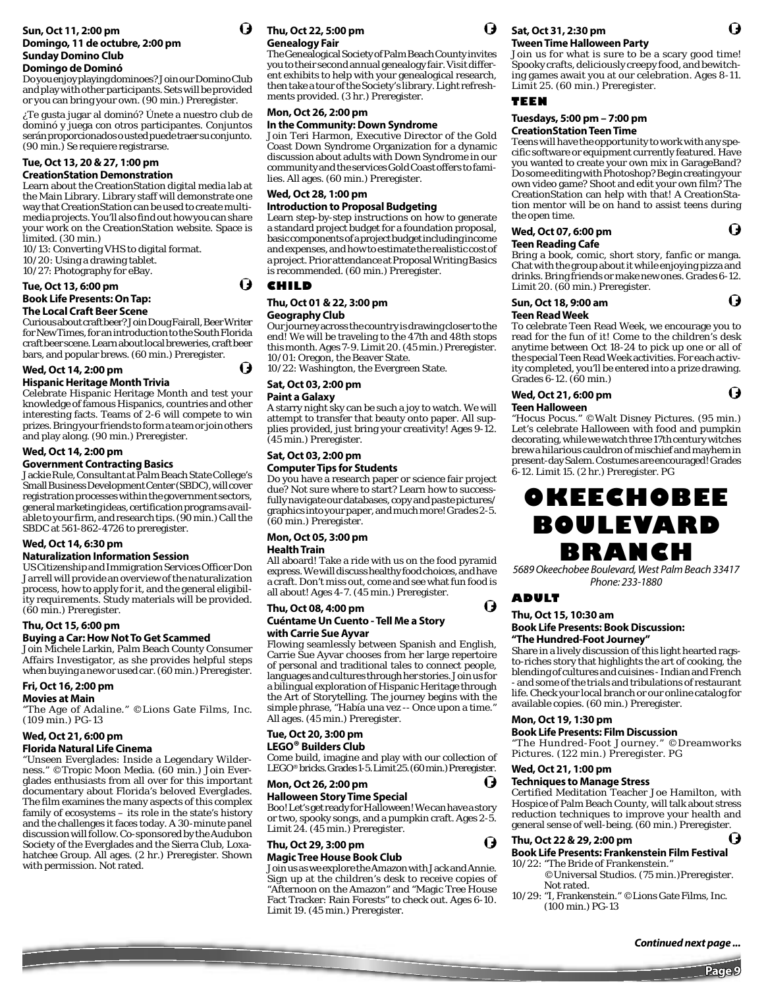#### **Sun, Oct 11, 2:00 pm Domingo, 11 de octubre, 2:00 pm Sunday Domino Club Domingo de Dominó**

Do you enjoy playing dominoes? Join our Domino Club and play with other participants. Sets will be provided or you can bring your own. (90 min.) Preregister.

¿Te gusta jugar al dominó? Únete a nuestro club de dominó y juega con otros participantes. Conjuntos serán proporcionados o usted puede traer su conjunto. (90 min.) Se requiere registrarse.

#### **Tue, Oct 13, 20 & 27, 1:00 pm CreationStation Demonstration**

Learn about the CreationStation digital media lab at the Main Library. Library staff will demonstrate one way that CreationStation can be used to create multimedia projects. You'll also find out how you can share your work on the CreationStation website. Space is limited. (30 min.)

10/13: Converting VHS to digital format. 10/20: Using a drawing tablet.

10/27: Photography for eBay.

#### **Tue, Oct 13, 6:00 pm**

## **Book Life Presents: On Tap:**

**The Local Craft Beer Scene** 

Curious about craft beer? Join Doug Fairall, Beer Writer for New Times, for an introduction to the South Florida craft beer scene. Learn about local breweries, craft beer bars, and popular brews. (60 min.) Preregister.

#### **Wed, Oct 14, 2:00 pm Hispanic Heritage Month Trivia**

Celebrate Hispanic Heritage Month and test your knowledge of famous Hispanics, countries and other

interesting facts. Teams of 2-6 will compete to win prizes. Bring your friends to form a team or join others and play along. (90 min.) Preregister.

## **Wed, Oct 14, 2:00 pm**

#### **Government Contracting Basics**

Jackie Rule, Consultant at Palm Beach State College's Small Business Development Center (SBDC), will cover registration processes within the government sectors, general marketing ideas, certification programs available to your firm, and research tips. (90 min.) Call the SBDC at 561-862-4726 to preregister.

## **Wed, Oct 14, 6:30 pm**

#### **Naturalization Information Session**

US Citizenship and Immigration Services Officer Don Jarrell will provide an overview of the naturalization process, how to apply for it, and the general eligibility requirements. Study materials will be provided. (60 min.) Preregister.

#### **Thu, Oct 15, 6:00 pm**

#### **Buying a Car: How Not To Get Scammed**

Join Michele Larkin, Palm Beach County Consumer Affairs Investigator, as she provides helpful steps when buying a new or used car. (60 min.) Preregister.

## **Fri, Oct 16, 2:00 pm**

### **Movies at Main**

"The Age of Adaline." ©Lions Gate Films, Inc. (109 min.) PG-13

## **Wed, Oct 21, 6:00 pm**

## **Florida Natural Life Cinema**

"Unseen Everglades: Inside a Legendary Wilderness." ©Tropic Moon Media. (60 min.) Join Everglades enthusiasts from all over for this important documentary about Florida's beloved Everglades. The film examines the many aspects of this complex family of ecosystems – its role in the state's history and the challenges it faces today. A 30-minute panel discussion will follow. Co-sponsored by the Audubon Society of the Everglades and the Sierra Club, Loxahatchee Group. All ages. (2 hr.) Preregister. Shown with permission. Not rated.

## **Thu, Oct 22, 5:00 pm Genealogy Fair**

The Genealogical Society of Palm Beach County invites you to their second annual genealogy fair. Visit different exhibits to help with your genealogical research, then take a tour of the Society's library. Light refreshments provided. (3 hr.) Preregister.

#### **Mon, Oct 26, 2:00 pm**

#### **In the Community: Down Syndrome**

Join Teri Harmon, Executive Director of the Gold Coast Down Syndrome Organization for a dynamic discussion about adults with Down Syndrome in our community and the services Gold Coast offers to families. All ages. (60 min.) Preregister.

#### **Wed, Oct 28, 1:00 pm Introduction to Proposal Budgeting**

Learn step-by-step instructions on how to generate a standard project budget for a foundation proposal, basic components of a project budget including income and expenses, and how to estimate the realistic cost of a project. Prior attendance at Proposal Writing Basics is recommended. (60 min.) Preregister.

#### **CHILD**

(J

O

#### **Thu, Oct 01 & 22, 3:00 pm Geography Club**

Our journey across the country is drawing closer to the end! We will be traveling to the 47th and 48th stops this month. Ages 7-9. Limit 20. (45 min.) Preregister. 10/01: Oregon, the Beaver State.

10/22: Washington, the Evergreen State.

#### **Sat, Oct 03, 2:00 pm Paint a Galaxy**

A starry night sky can be such a joy to watch. We will attempt to transfer that beauty onto paper. All supplies provided, just bring your creativity! Ages 9-12.

## (45 min.) Preregister. **Sat, Oct 03, 2:00 pm**

#### **Computer Tips for Students**

Do you have a research paper or science fair project due? Not sure where to start? Learn how to successfully navigate our databases, copy and paste pictures/ graphics into your paper, and much more! Grades 2-5. (60 min.) Preregister.

## **Mon, Oct 05, 3:00 pm**

**Health Train**

All aboard! Take a ride with us on the food pyramid express. We will discuss healthy food choices, and have a craft. Don't miss out, come and see what fun food is all about! Ages 4-7. (45 min.) Preregister.

#### **Thu, Oct 08, 4:00 pm Cuéntame Un Cuento - Tell Me a Story with Carrie Sue Ayvar**

Flowing seamlessly between Spanish and English, Carrie Sue Ayvar chooses from her large repertoire of personal and traditional tales to connect people, languages and cultures through her stories. Join us for a bilingual exploration of Hispanic Heritage through the Art of Storytelling. The journey begins with the simple phrase, "Había una vez -- Once upon a time." All ages. (45 min.) Preregister.

#### **Tue, Oct 20, 3:00 pm LEGO® Builders Club**

Come build, imagine and play with our collection of LEGO® bricks. Grades 1-5. Limit 25. (60 min.) Preregister.

### **Mon, Oct 26, 2:00 pm**

## **Halloween Story Time Special**  Boo! Let's get ready for Halloween! We can have a story

or two, spooky songs, and a pumpkin craft. Ages 2-5. Limit 24. (45 min.) Preregister. O

#### **Thu, Oct 29, 3:00 pm Magic Tree House Book Club**

Join us as we explore the Amazon with Jack and Annie. Sign up at the children's desk to receive copies of "Afternoon on the Amazon" and "Magic Tree House Fact Tracker: Rain Forests" to check out. Ages 6-10. Limit 19. (45 min.) Preregister.



#### **Sat, Oct 31, 2:30 pm Tween Time Halloween Party**

Join us for what is sure to be a scary good time! Spooky crafts, deliciously creepy food, and bewitching games await you at our celebration. Ages 8-11. Limit 25. (60 min.) Preregister.

#### **TEEN**

#### **Tuesdays, 5:00 pm – 7:00 pm CreationStation Teen Time**

Teens will have the opportunity to work with any specific software or equipment currently featured. Have you wanted to create your own mix in GarageBand? Do some editing with Photoshop? Begin creating your own video game? Shoot and edit your own film? The CreationStation can help with that! A CreationStation mentor will be on hand to assist teens during the open time.

#### O **Wed, Oct 07, 6:00 pm Teen Reading Cafe**

Bring a book, comic, short story, fanfic or manga. Chat with the group about it while enjoying pizza and drinks. Bring friends or make new ones. Grades 6-12. Limit 20. (60 min.) Preregister.

#### **Sun, Oct 18, 9:00 am Teen Read Week**

To celebrate Teen Read Week, we encourage you to read for the fun of it! Come to the children's desk anytime between Oct 18-24 to pick up one or all of the special Teen Read Week activities. For each activity completed, you'll be entered into a prize drawing. Grades 6-12. (60 min.)

#### **Wed, Oct 21, 6:00 pm**

#### **Teen Halloween**

"Hocus Pocus." ©Walt Disney Pictures. (95 min.) Let's celebrate Halloween with food and pumpkin decorating, while we watch three 17th century witches brew a hilarious cauldron of mischief and mayhem in present-day Salem. Costumes are encouraged! Grades 6-12. Limit 15. (2 hr.) Preregister. PG

## **OKEECHOBEE BOULEVARD BRANCH**

5689 Okeechobee Boulevard, West Palm Beach 33417 Phone: 233-1880

## **ADULT**

O

#### **Thu, Oct 15, 10:30 am Book Life Presents: Book Discussion:**

#### **"The Hundred-Foot Journey"**

Share in a lively discussion of this light hearted ragsto-riches story that highlights the art of cooking, the blending of cultures and cuisines - Indian and French - and some of the trials and tribulations of restaurant life. Check your local branch or our online catalog for available copies. (60 min.) Preregister.

#### **Mon, Oct 19, 1:30 pm**

#### **Book Life Presents: Film Discussion**

"The Hundred-Foot Journey." ©Dreamworks Pictures. (122 min.) Preregister. PG

#### **Wed, Oct 21, 1:00 pm**

#### **Techniques to Manage Stress**

Certified Meditation Teacher Joe Hamilton, with Hospice of Palm Beach County, will talk about stress reduction techniques to improve your health and general sense of well-being. (60 min.) Preregister.

#### **Thu, Oct 22 & 29, 2:00 pm**

#### **Book Life Presents: Frankenstein Film Festival**

- 10/22: "The Bride of Frankenstein." ©Universal Studios. (75 min.)Preregister.
- Not rated. 10/29: "I, Frankenstein." ©Lions Gate Films, Inc. (100 min.) PG-13

O

G





15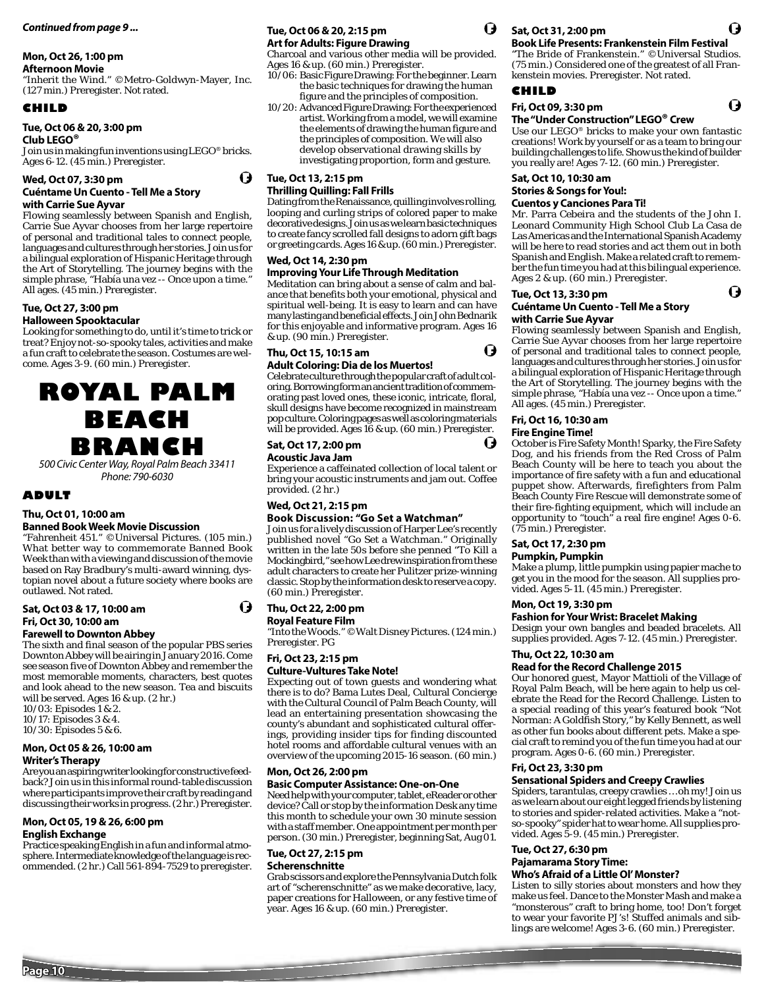#### **Mon, Oct 26, 1:00 pm**

#### **Afternoon Movie**

"Inherit the Wind." ©Metro-Goldwyn-Mayer, Inc. (127 min.) Preregister. Not rated.

#### **CHILD**

#### **Tue, Oct 06 & 20, 3:00 pm**

**Club LEGO®** Join us in making fun inventions using LEGO® bricks. Ages 6-12. (45 min.) Preregister.

#### **Wed, Oct 07, 3:30 pm**

#### **Cuéntame Un Cuento - Tell Me a Story with Carrie Sue Ayvar**

Flowing seamlessly between Spanish and English, Carrie Sue Ayvar chooses from her large repertoire of personal and traditional tales to connect people, languages and cultures through her stories. Join us for a bilingual exploration of Hispanic Heritage through the Art of Storytelling. The journey begins with the simple phrase, "Había una vez -- Once upon a time." All ages. (45 min.) Preregister.

## **Tue, Oct 27, 3:00 pm**

**Halloween Spooktacular**

Looking for something to do, until it's time to trick or treat? Enjoy not-so-spooky tales, activities and make a fun craft to celebrate the season. Costumes are welcome. Ages 3-9. (60 min.) Preregister.

**ROYAL PALM BEACH BRANCH**

500 Civic Center Way, Royal Palm Beach 33411 Phone: 790-6030

#### **ADULT**

## **Thu, Oct 01, 10:00 am**

**Banned Book Week Movie Discussion** "Fahrenheit 451." ©Universal Pictures. (105 min.) What better way to commemorate Banned Book Week than with a viewing and discussion of the movie based on Ray Bradbury's multi-award winning, dystopian novel about a future society where books are outlawed. Not rated.

#### **Sat, Oct 03 & 17, 10:00 am Fri, Oct 30, 10:00 am**

#### **Farewell to Downton Abbey**

The sixth and final season of the popular PBS series Downton Abbey will be airing in January 2016. Come see season five of Downton Abbey and remember the most memorable moments, characters, best quotes and look ahead to the new season. Tea and biscuits will be served. Ages 16 & up. (2 hr.)

10/03: Episodes 1 & 2. 10/17: Episodes 3 & 4.

10/30: Episodes 5 & 6.

## **Mon, Oct 05 & 26, 10:00 am**

**Writer's Therapy**

Are you an aspiring writer looking for constructive feedback? Join us in this informal round-table discussion where participants improve their craft by reading and discussing their works in progress. (2 hr.) Preregister.

#### **Mon, Oct 05, 19 & 26, 6:00 pm**

#### **English Exchange**

Practice speaking English in a fun and informal atmosphere. Intermediate knowledge of the language is recommended. (2 hr.) Call 561-894-7529 to preregister.

#### **Tue, Oct 06 & 20, 2:15 pm Art for Adults: Figure Drawing**

Charcoal and various other media will be provided. Ages 16 & up. (60 min.) Preregister.

- 10/06: Basic Figure Drawing: For the beginner. Learn the basic techniques for drawing the human figure and the principles of composition.
- 10/20: Advanced Figure Drawing: For the experienced artist. Working from a model, we will examine the elements of drawing the human figure and the principles of composition. We will also develop observational drawing skills by investigating proportion, form and gesture.

#### **Tue, Oct 13, 2:15 pm Thrilling Quilling: Fall Frills**

O

Dating from the Renaissance, quilling involves rolling, looping and curling strips of colored paper to make decorative designs. Join us as we learn basic techniques to create fancy scrolled fall designs to adorn gift bags or greeting cards. Ages 16 & up. (60 min.) Preregister.

#### **Wed, Oct 14, 2:30 pm**

#### **Improving Your Life Through Meditation**

Meditation can bring about a sense of calm and balance that benefits both your emotional, physical and spiritual well-being. It is easy to learn and can have many lasting and beneficial effects. Join John Bednarik for this enjoyable and informative program. Ages 16 & up. (90 min.) Preregister.

#### **Thu, Oct 15, 10:15 am**

#### **Adult Coloring: Dia de los Muertos!**

Celebrate culture through the popular craft of adult coloring. Borrowing form an ancient tradition of commemorating past loved ones, these iconic, intricate, floral, skull designs have become recognized in mainstream pop culture. Coloring pages as well as coloring materials will be provided. Ages 16 & up. (60 min.) Preregister.

## **Sat, Oct 17, 2:00 pm**

#### **Acoustic Java Jam**

Experience a caffeinated collection of local talent or bring your acoustic instruments and jam out. Coffee provided. (2 hr.)

#### **Wed, Oct 21, 2:15 pm**

#### **Book Discussion: "Go Set a Watchman"**

Join us for a lively discussion of Harper Lee's recently published novel "Go Set a Watchman." Originally written in the late 50s before she penned "To Kill a Mockingbird," see how Lee drew inspiration from these adult characters to create her Pulitzer prize-winning classic. Stop by the information desk to reserve a copy. (60 min.) Preregister.

#### **Thu, Oct 22, 2:00 pm**

O

#### **Royal Feature Film**

"Into the Woods." ©Walt Disney Pictures. (124 min.) Preregister. PG

## **Fri, Oct 23, 2:15 pm**

### **Culture-Vultures Take Note!**

Expecting out of town guests and wondering what there is to do? Bama Lutes Deal, Cultural Concierge with the Cultural Council of Palm Beach County, will lead an entertaining presentation showcasing the county's abundant and sophisticated cultural offerings, providing insider tips for finding discounted hotel rooms and affordable cultural venues with an overview of the upcoming 2015-16 season. (60 min.)

## **Mon, Oct 26, 2:00 pm**

## **Basic Computer Assistance: One-on-One**

Need help with your computer, tablet, eReader or other device? Call or stop by the information Desk any time this month to schedule your own 30 minute session with a staff member. One appointment per month per person. (30 min.) Preregister, beginning Sat, Aug 01.

## **Tue, Oct 27, 2:15 pm**

#### **Scherenschnitte**

Grab scissors and explore the Pennsylvania Dutch folk art of "scherenschnitte" as we make decorative, lacy, paper creations for Halloween, or any festive time of year. Ages 16 & up. (60 min.) Preregister.



O

U

#### **Sat, Oct 31, 2:00 pm Book Life Presents: Frankenstein Film Festival**

"The Bride of Frankenstein." ©Universal Studios. (75 min.) Considered one of the greatest of all Frankenstein movies. Preregister. Not rated.

Q

G

#### **CHILD**

## **Fri, Oct 09, 3:30 pm**

**The "Under Construction" LEGO® Crew** 

Use our LEGO® bricks to make your own fantastic creations! Work by yourself or as a team to bring our building challenges to life. Show us the kind of builder you really are! Ages 7-12. (60 min.) Preregister.

## **Sat, Oct 10, 10:30 am Stories & Songs for You!:**

#### **Cuentos y Canciones Para Ti!**

Mr. Parra Cebeira and the students of the John I. Leonard Community High School Club La Casa de Las Americas and the International Spanish Academy will be here to read stories and act them out in both Spanish and English. Make a related craft to remember the fun time you had at this bilingual experience. Ages 2 & up. (60 min.) Preregister.

#### **Tue, Oct 13, 3:30 pm**

#### **Cuéntame Un Cuento - Tell Me a Story with Carrie Sue Ayvar**

Flowing seamlessly between Spanish and English, Carrie Sue Ayvar chooses from her large repertoire of personal and traditional tales to connect people, languages and cultures through her stories. Join us for a bilingual exploration of Hispanic Heritage through the Art of Storytelling. The journey begins with the simple phrase, "Había una vez -- Once upon a time." All ages. (45 min.) Preregister.

## **Fri, Oct 16, 10:30 am**

### **Fire Engine Time!**

October is Fire Safety Month! Sparky, the Fire Safety Dog, and his friends from the Red Cross of Palm Beach County will be here to teach you about the importance of fire safety with a fun and educational puppet show. Afterwards, firefighters from Palm Beach County Fire Rescue will demonstrate some of their fire-fighting equipment, which will include an opportunity to "touch" a real fire engine! Ages 0-6. (75 min.) Preregister.

## **Sat, Oct 17, 2:30 pm**

**Pumpkin, Pumpkin**

Make a plump, little pumpkin using papier mache to get you in the mood for the season. All supplies provided. Ages 5-11. (45 min.) Preregister.

#### **Mon, Oct 19, 3:30 pm**

#### **Fashion for Your Wrist: Bracelet Making**

Design your own bangles and beaded bracelets. All supplies provided. Ages 7-12. (45 min.) Preregister.

## **Thu, Oct 22, 10:30 am**

**Read for the Record Challenge 2015** Our honored guest, Mayor Mattioli of the Village of Royal Palm Beach, will be here again to help us celebrate the Read for the Record Challenge. Listen to a special reading of this year's featured book "Not Norman: A Goldfish Story," by Kelly Bennett, as well as other fun books about different pets. Make a special craft to remind you of the fun time you had at our program. Ages 0-6. (60 min.) Preregister.

#### **Fri, Oct 23, 3:30 pm**

#### **Sensational Spiders and Creepy Crawlies**

Spiders, tarantulas, creepy crawlies … oh my! Join us as we learn about our eight legged friends by listening to stories and spider-related activities. Make a "notso-spooky" spider hat to wear home. All supplies provided. Ages 5-9. (45 min.) Preregister.

#### **Tue, Oct 27, 6:30 pm Pajamarama Story Time:**

#### **Who's Afraid of a Little Ol' Monster?**

Listen to silly stories about monsters and how they make us feel. Dance to the Monster Mash and make a "monsterous" craft to bring home, too! Don't forget to wear your favorite PJ's! Stuffed animals and siblings are welcome! Ages 3-6. (60 min.) Preregister.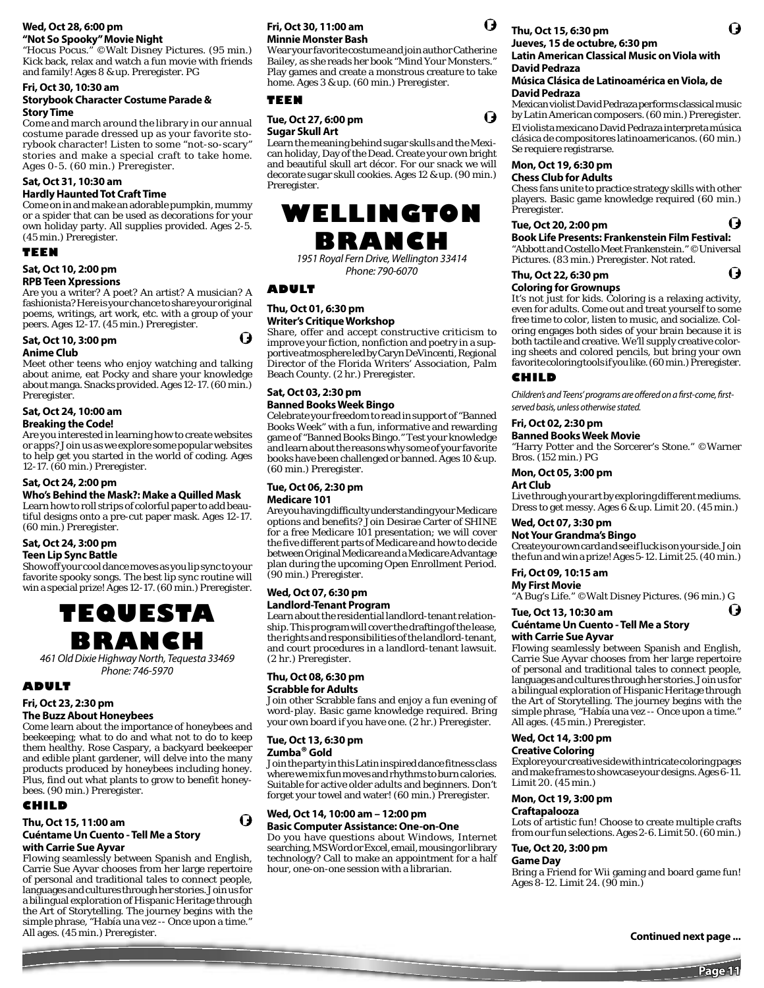#### **Wed, Oct 28, 6:00 pm "Not So Spooky" Movie Night**

"Hocus Pocus." ©Walt Disney Pictures. (95 min.) Kick back, relax and watch a fun movie with friends and family! Ages 8 & up. Preregister. PG

#### **Fri, Oct 30, 10:30 am Storybook Character Costume Parade & Story Time**

Come and march around the library in our annual costume parade dressed up as your favorite storybook character! Listen to some "not-so-scary" stories and make a special craft to take home. Ages 0-5. (60 min.) Preregister.

#### **Sat, Oct 31, 10:30 am**

#### **Hardly Haunted Tot Craft Time**

Come on in and make an adorable pumpkin, mummy or a spider that can be used as decorations for your own holiday party. All supplies provided. Ages 2-5. (45 min.) Preregister.

#### **TEEN**

#### **Sat, Oct 10, 2:00 pm**

#### **RPB Teen Xpressions**

Are you a writer? A poet? An artist? A musician? A fashionista? Here is your chance to share your original poems, writings, art work, etc. with a group of your peers. Ages 12-17. (45 min.) Preregister.

## **Sat, Oct 10, 3:00 pm**

#### **Anime Club**

Meet other teens who enjoy watching and talking about anime, eat Pocky and share your knowledge about manga. Snacks provided. Ages 12-17. (60 min.) Preregister.

#### **Sat, Oct 24, 10:00 am Breaking the Code!**

Are you interested in learning how to create websites or apps? Join us as we explore some popular websites to help get you started in the world of coding. Ages 12-17. (60 min.) Preregister.

#### **Sat, Oct 24, 2:00 pm**

#### **Who's Behind the Mask?: Make a Quilled Mask**

Learn how to roll strips of colorful paper to add beautiful designs onto a pre-cut paper mask. Ages 12-17. (60 min.) Preregister.

## **Sat, Oct 24, 3:00 pm**

#### **Teen Lip Sync Battle**

Show off your cool dance moves as you lip sync to your favorite spooky songs. The best lip sync routine will win a special prize! Ages 12-17. (60 min.) Preregister.



461 Old Dixie Highway North, Tequesta 33469 Phone: 746-5970

#### **ADULT**

#### **Fri, Oct 23, 2:30 pm**

#### **The Buzz About Honeybees**

Come learn about the importance of honeybees and beekeeping; what to do and what not to do to keep them healthy. Rose Caspary, a backyard beekeeper and edible plant gardener, will delve into the many products produced by honeybees including honey. Plus, find out what plants to grow to benefit honeybees. (90 min.) Preregister.

## **CHILD**

#### **Thu, Oct 15, 11:00 am Cuéntame Un Cuento - Tell Me a Story**

## **with Carrie Sue Ayvar**

Flowing seamlessly between Spanish and English, Carrie Sue Ayvar chooses from her large repertoire of personal and traditional tales to connect people, languages and cultures through her stories. Join us for a bilingual exploration of Hispanic Heritage through the Art of Storytelling. The journey begins with the simple phrase, "Había una vez -- Once upon a time." All ages. (45 min.) Preregister.

#### **Fri, Oct 30, 11:00 am Minnie Monster Bash**

Wear your favorite costume and join author Catherine Bailey, as she reads her book "Mind Your Monsters." Play games and create a monstrous creature to take home. Ages 3 & up. (60 min.) Preregister.

#### **TEEN**

#### **Tue, Oct 27, 6:00 pm Sugar Skull Art**

Learn the meaning behind sugar skulls and the Mexican holiday, Day of the Dead. Create your own bright and beautiful skull art décor. For our snack we will decorate sugar skull cookies. Ages 12 & up. (90 min.) Preregister.

## **WELLINGTON BRANCH**

1951 Royal Fern Drive, Wellington 33414 Phone: 790-6070

#### **ADULT**

G

#### **Thu, Oct 01, 6:30 pm Writer's Critique Workshop**

Share, offer and accept constructive criticism to improve your fiction, nonfiction and poetry in a supportive atmosphere led by Caryn DeVincenti, Regional Director of the Florida Writers' Association, Palm Beach County. (2 hr.) Preregister.

#### **Sat, Oct 03, 2:30 pm Banned Books Week Bingo**

Celebrate your freedom to read in support of "Banned Books Week" with a fun, informative and rewarding game of "Banned Books Bingo." Test your knowledge and learn about the reasons why some of your favorite books have been challenged or banned. Ages 10 & up. (60 min.) Preregister.

#### **Tue, Oct 06, 2:30 pm Medicare 101**

Are you having difficulty understanding your Medicare options and benefits? Join Desirae Carter of SHINE for a free Medicare 101 presentation; we will cover the five different parts of Medicare and how to decide between Original Medicare and a Medicare Advantage plan during the upcoming Open Enrollment Period. (90 min.) Preregister.

## **Wed, Oct 07, 6:30 pm**

#### **Landlord-Tenant Program**

Learn about the residential landlord-tenant relationship. This program will cover the drafting of the lease, the rights and responsibilities of the landlord-tenant, and court procedures in a landlord-tenant lawsuit. (2 hr.) Preregister.

#### **Thu, Oct 08, 6:30 pm Scrabble for Adults**

Join other Scrabble fans and enjoy a fun evening of word-play. Basic game knowledge required. Bring your own board if you have one. (2 hr.) Preregister.

#### **Tue, Oct 13, 6:30 pm Zumba® Gold**

ø

Join the party in this Latin inspired dance fitness class where we mix fun moves and rhythms to burn calories. Suitable for active older adults and beginners. Don't forget your towel and water! (60 min.) Preregister.

#### **Wed, Oct 14, 10:00 am – 12:00 pm Basic Computer Assistance: One-on-One**

Do you have questions about Windows, Internet searching, MS Word or Excel, email, mousing or library technology? Call to make an appointment for a half hour, one-on-one session with a librarian.



U

## **Thu, Oct 15, 6:30 pm**

#### **Jueves, 15 de octubre, 6:30 pm Latin American Classical Music on Viola with David Pedraza**

#### **Música Clásica de Latinoamérica en Viola, de David Pedraza**

Mexican violist David Pedraza performs classical music by Latin American composers. (60 min.) Preregister. El violista mexicano David Pedraza interpreta música clásica de compositores latinoamericanos. (60 min.) Se requiere registrarse.

## **Mon, Oct 19, 6:30 pm**

#### **Chess Club for Adults**

Chess fans unite to practice strategy skills with other players. Basic game knowledge required (60 min.) Preregister.

#### **Tue, Oct 20, 2:00 pm**

**Book Life Presents: Frankenstein Film Festival:**  "Abbott and Costello Meet Frankenstein." ©Universal

Pictures. (83 min.) Preregister. Not rated. Q

**Thu, Oct 22, 6:30 pm** 

#### **Coloring for Grownups**

It's not just for kids. Coloring is a relaxing activity, even for adults. Come out and treat yourself to some free time to color, listen to music, and socialize. Coloring engages both sides of your brain because it is both tactile and creative. We'll supply creative coloring sheets and colored pencils, but bring your own favorite coloring tools if you like. (60 min.) Preregister.

#### **CHILD**

Children's and Teens' programs are offered on a first-come, firstserved basis, unless otherwise stated.

#### **Fri, Oct 02, 2:30 pm**

#### **Banned Books Week Movie**

"Harry Potter and the Sorcerer's Stone." ©Warner Bros. (152 min.) PG

#### **Mon, Oct 05, 3:00 pm**

**Art Club**

Live through your art by exploring different mediums. Dress to get messy. Ages 6 & up. Limit 20. (45 min.)

#### **Wed, Oct 07, 3:30 pm**

#### **Not Your Grandma's Bingo**

Create your own card and see if luck is on your side. Join the fun and win a prize! Ages 5-12. Limit 25. (40 min.)

## **Fri, Oct 09, 10:15 am**

**My First Movie** "A Bug's Life." ©Walt Disney Pictures. (96 min.) G

## **Tue, Oct 13, 10:30 am**

#### **Cuéntame Un Cuento - Tell Me a Story with Carrie Sue Ayvar**

Flowing seamlessly between Spanish and English, Carrie Sue Ayvar chooses from her large repertoire of personal and traditional tales to connect people, languages and cultures through her stories. Join us for a bilingual exploration of Hispanic Heritage through the Art of Storytelling. The journey begins with the simple phrase, "Había una vez -- Once upon a time." All ages. (45 min.) Preregister.

#### **Wed, Oct 14, 3:00 pm**

#### **Creative Coloring**

Explore your creative side with intricate coloring pages and make frames to showcase your designs. Ages 6-11. Limit 20. (45 min.)

#### **Mon, Oct 19, 3:00 pm**

**Craftapalooza**

Lots of artistic fun! Choose to create multiple crafts from our fun selections. Ages 2-6. Limit 50. (60 min.)

#### **Tue, Oct 20, 3:00 pm**

**Game Day**

Bring a Friend for Wii gaming and board game fun! Ages 8-12. Limit 24. (90 min.)

**Continued next page ...**

O

Q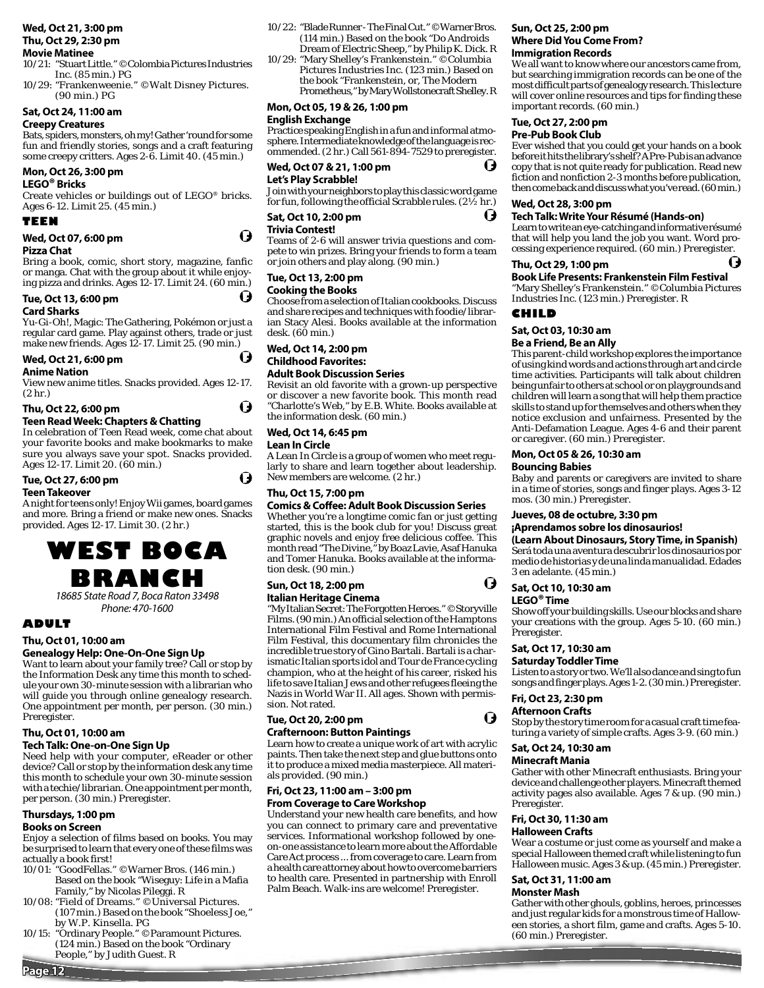#### **Wed, Oct 21, 3:00 pm Thu, Oct 29, 2:30 pm**

#### **Movie Matinee**

- 10/21: "Stuart Little." ©Colombia Pictures Industries Inc. (85 min.) PG
- 10/29: "Frankenweenie." ©Walt Disney Pictures. (90 min.) PG

#### **Sat, Oct 24, 11:00 am**

#### **Creepy Creatures**

Bats, spiders, monsters, oh my! Gather 'round for some fun and friendly stories, songs and a craft featuring some creepy critters. Ages 2-6. Limit 40. (45 min.)

#### **Mon, Oct 26, 3:00 pm**

#### **LEGO® Bricks**

Create vehicles or buildings out of LEGO® bricks. Ages 6-12. Limit 25. (45 min.)

#### **TEEN**

#### **Wed, Oct 07, 6:00 pm**

#### **Pizza Chat**

Bring a book, comic, short story, magazine, fanfic or manga. Chat with the group about it while enjoying pizza and drinks. Ages 12-17. Limit 24. (60 min.)

#### **Tue, Oct 13, 6:00 pm**

#### **Card Sharks**

Yu-Gi-Oh!, Magic: The Gathering, Pokémon or just a regular card game. Play against others, trade or just make new friends. Ages 12-17. Limit 25. (90 min.)

#### **Wed, Oct 21, 6:00 pm**

#### **Anime Nation**

View new anime titles. Snacks provided. Ages 12-17. (2 hr.)

## **Thu, Oct 22, 6:00 pm**

**Teen Read Week: Chapters & Chatting** 

In celebration of Teen Read week, come chat about your favorite books and make bookmarks to make sure you always save your spot. Snacks provided. Ages 12-17. Limit 20. (60 min.)

#### **Tue, Oct 27, 6:00 pm**

#### **Teen Takeover**

A night for teens only! Enjoy Wii games, board games and more. Bring a friend or make new ones. Snacks provided. Ages 12-17. Limit 30. (2 hr.)



18685 State Road 7, Boca Raton 33498 Phone: 470-1600

## **ADULT**

#### **Thu, Oct 01, 10:00 am**

## **Genealogy Help: One-On-One Sign Up**

Want to learn about your family tree? Call or stop by the Information Desk any time this month to schedule your own 30-minute session with a librarian who will guide you through online genealogy research. One appointment per month, per person. (30 min.) Preregister.

#### **Thu, Oct 01, 10:00 am**

#### **Tech Talk: One-on-One Sign Up**

Need help with your computer, eReader or other device? Call or stop by the information desk any time this month to schedule your own 30-minute session with a techie/librarian. One appointment per month, per person. (30 min.) Preregister.

#### **Thursdays, 1:00 pm**

#### **Books on Screen**

**Page 12**

Enjoy a selection of films based on books. You may be surprised to learn that every one of these films was actually a book first!

- 10/01: "GoodFellas." ©Warner Bros. (146 min.) Based on the book "Wiseguy: Life in a Mafia Family," by Nicolas Pileggi. R
- 10/08: "Field of Dreams." ©Universal Pictures. (107 min.) Based on the book "Shoeless Joe," by W.P. Kinsella. PG
- 10/15: "Ordinary People." ©Paramount Pictures. (124 min.) Based on the book "Ordinary People," by Judith Guest. R
- 10/22: "Blade Runner The Final Cut." ©Warner Bros. (114 min.) Based on the book "Do Androids Dream of Electric Sheep," by Philip K. Dick. R
- 10/29: "Mary Shelley's Frankenstein." ©Columbia Pictures Industries Inc. (123 min.) Based on the book "Frankenstein, or, The Modern Prometheus," by Mary Wollstonecraft Shelley. R

#### **Mon, Oct 05, 19 & 26, 1:00 pm**

#### **English Exchange**

Practice speaking English in a fun and informal atmosphere. Intermediate knowledge of the language is recommended. (2 hr.) Call 561-894-7529 to preregister.

Ô **Wed, Oct 07 & 21, 1:00 pm Let's Play Scrabble!** 

Join with your neighbors to play this classic word game for fun, following the official Scrabble rules. (2½ hr.)

## **Sat, Oct 10, 2:00 pm**

#### **Trivia Contest!**

(J

(J

O

I)

O

Teams of 2-6 will answer trivia questions and compete to win prizes. Bring your friends to form a team or join others and play along. (90 min.)

#### **Tue, Oct 13, 2:00 pm**

#### **Cooking the Books**

Choose from a selection of Italian cookbooks. Discuss and share recipes and techniques with foodie/librarian Stacy Alesi. Books available at the information desk. (60 min.)

## **Wed, Oct 14, 2:00 pm Childhood Favorites:**

#### **Adult Book Discussion Series**

Revisit an old favorite with a grown-up perspective or discover a new favorite book. This month read "Charlotte's Web," by E.B. White. Books available at the information desk. (60 min.)

#### **Wed, Oct 14, 6:45 pm**

**Lean In Circle**

A Lean In Circle is a group of women who meet regularly to share and learn together about leadership. New members are welcome. (2 hr.)

#### **Thu, Oct 15, 7:00 pm**

#### **Comics & Coffee: Adult Book Discussion Series**

Whether you're a longtime comic fan or just getting started, this is the book club for you! Discuss great graphic novels and enjoy free delicious coffee. This month read "The Divine," by Boaz Lavie, Asaf Hanuka and Tomer Hanuka. Books available at the information desk. (90 min.)

#### **Sun, Oct 18, 2:00 pm**

#### **Italian Heritage Cinema**

"My Italian Secret: The Forgotten Heroes." ©Storyville Films. (90 min.) An official selection of the Hamptons International Film Festival and Rome International Film Festival, this documentary film chronicles the incredible true story of Gino Bartali. Bartali is a charismatic Italian sports idol and Tour de France cycling champion, who at the height of his career, risked his life to save Italian Jews and other refugees fleeing the Nazis in World War II. All ages. Shown with permission. Not rated.

#### **Tue, Oct 20, 2:00 pm Crafternoon: Button Paintings**

Learn how to create a unique work of art with acrylic paints. Then take the next step and glue buttons onto it to produce a mixed media masterpiece. All materials provided. (90 min.)

#### **Fri, Oct 23, 11:00 am – 3:00 pm From Coverage to Care Workshop**

Understand your new health care benefits, and how you can connect to primary care and preventative services. Informational workshop followed by oneon-one assistance to learn more about the Affordable Care Act process ... from coverage to care. Learn from a health care attorney about how to overcome barriers to health care. Presented in partnership with Enroll Palm Beach. Walk-ins are welcome! Preregister.

## **Sun, Oct 25, 2:00 pm Where Did You Come From?**

#### **Immigration Records**

We all want to know where our ancestors came from, but searching immigration records can be one of the most difficult parts of genealogy research. This lecture will cover online resources and tips for finding these important records. (60 min.)

#### **Tue, Oct 27, 2:00 pm**

#### **Pre-Pub Book Club**

Ever wished that you could get your hands on a book before it hits the library's shelf? A Pre-Pub is an advance copy that is not quite ready for publication. Read new fiction and nonfiction 2-3 months before publication, then come back and discuss what you've read. (60 min.)

#### **Wed, Oct 28, 3:00 pm**

#### **Tech Talk: Write Your Résumé (Hands-on)**

Learn to write an eye-catching and informative résumé that will help you land the job you want. Word processing experience required. (60 min.) Preregister.

I,

#### **Thu, Oct 29, 1:00 pm**

#### **Book Life Presents: Frankenstein Film Festival**

"Mary Shelley's Frankenstein." ©Columbia Pictures Industries Inc. (123 min.) Preregister. R

#### **CHILD**

I)

**Sat, Oct 03, 10:30 am**

#### **Be a Friend, Be an Ally**

This parent-child workshop explores the importance of using kind words and actions through art and circle time activities. Participants will talk about children being unfair to others at school or on playgrounds and children will learn a song that will help them practice skills to stand up for themselves and others when they notice exclusion and unfairness. Presented by the Anti-Defamation League. Ages 4-6 and their parent or caregiver. (60 min.) Preregister.

#### **Mon, Oct 05 & 26, 10:30 am**

#### **Bouncing Babies**

Baby and parents or caregivers are invited to share in a time of stories, songs and finger plays. Ages 3-12 mos. (30 min.) Preregister.

#### **Jueves, 08 de octubre, 3:30 pm**

#### **¡Aprendamos sobre los dinosaurios!**

**(Learn About Dinosaurs, Story Time, in Spanish)**

Será toda una aventura descubrir los dinosaurios por medio de historias y de una linda manualidad. Edades 3 en adelante. (45 min.)

## **Sat, Oct 10, 10:30 am**

O

Q

**LEGO® Time**

Show off your building skills. Use our blocks and share your creations with the group. Ages 5-10. (60 min.) Preregister.

#### **Sat, Oct 17, 10:30 am**

#### **Saturday Toddler Time**

Listen to a story or two. We'll also dance and sing to fun songs and finger plays. Ages 1-2. (30 min.) Preregister.

Stop by the story time room for a casual craft time featuring a variety of simple crafts. Ages 3-9. (60 min.)

Gather with other Minecraft enthusiasts. Bring your device and challenge other players. Minecraft themed activity pages also available. Ages 7 & up. (90 min.)

Wear a costume or just come as yourself and make a special Halloween themed craft while listening to fun Halloween music. Ages 3 & up. (45 min.) Preregister.

Gather with other ghouls, goblins, heroes, princesses and just regular kids for a monstrous time of Halloween stories, a short film, game and crafts. Ages 5-10.

#### **Fri, Oct 23, 2:30 pm Afternoon Crafts**

**Sat, Oct 24, 10:30 am Minecraft Mania**

**Fri, Oct 30, 11:30 am Halloween Crafts**

**Sat, Oct 31, 11:00 am Monster Mash**

(60 min.) Preregister.

Preregister.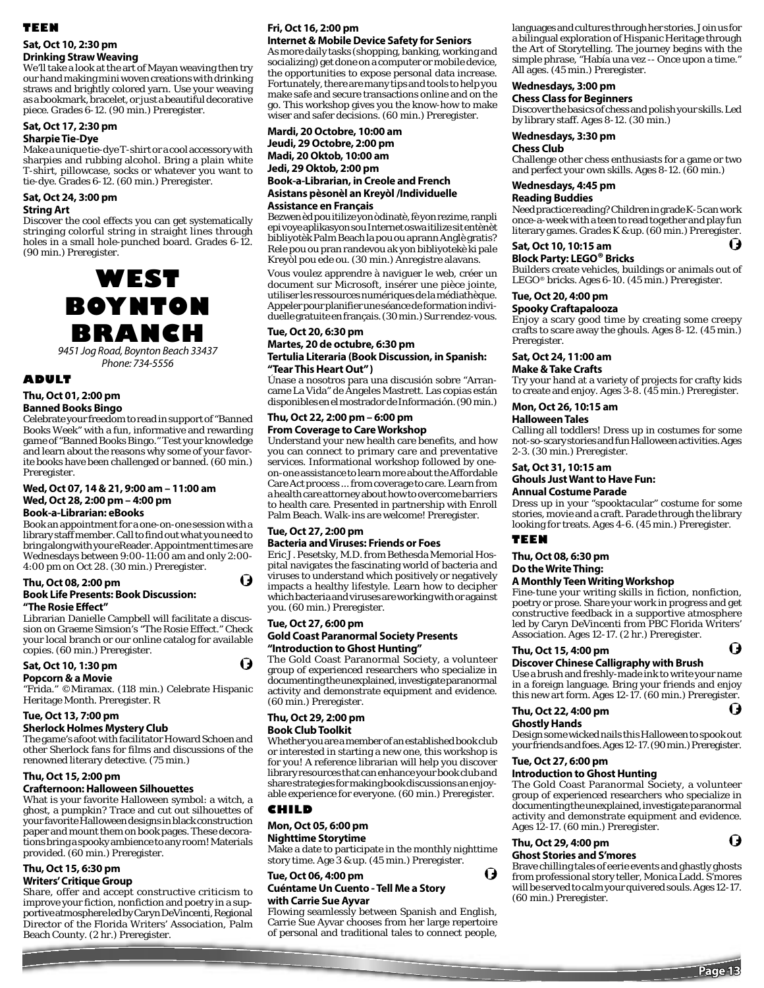## **TEEN**

#### **Sat, Oct 10, 2:30 pm Drinking Straw Weaving**

We'll take a look at the art of Mayan weaving then try our hand making mini woven creations with drinking straws and brightly colored yarn. Use your weaving as a bookmark, bracelet, or just a beautiful decorative piece. Grades 6-12. (90 min.) Preregister.

## **Sat, Oct 17, 2:30 pm**

#### **Sharpie Tie-Dye**

Make a unique tie-dye T-shirt or a cool accessory with sharpies and rubbing alcohol. Bring a plain white T-shirt, pillowcase, socks or whatever you want to tie-dye. Grades 6-12. (60 min.) Preregister.

#### **Sat, Oct 24, 3:00 pm String Art**

Discover the cool effects you can get systematically stringing colorful string in straight lines through holes in a small hole-punched board. Grades 6-12. (90 min.) Preregister.



Phone: 734-5556

#### **ADULT**

#### **Thu, Oct 01, 2:00 pm**

#### **Banned Books Bingo**

Celebrate your freedom to read in support of "Banned Books Week" with a fun, informative and rewarding game of "Banned Books Bingo." Test your knowledge and learn about the reasons why some of your favorite books have been challenged or banned. (60 min.) Preregister.

**Wed, Oct 07, 14 & 21, 9:00 am – 11:00 am Wed, Oct 28, 2:00 pm – 4:00 pm**

#### **Book-a-Librarian: eBooks**

Book an appointment for a one-on-one session with a library staff member. Call to find out what you need to bring along with your eReader. Appointment times are Wednesdays between 9:00-11:00 am and only 2:00- 4:00 pm on Oct 28. (30 min.) Preregister.

#### **Thu, Oct 08, 2:00 pm Book Life Presents: Book Discussion: "The Rosie Eff ect"**

Librarian Danielle Campbell will facilitate a discussion on Graeme Simsion's "The Rosie Effect." Check your local branch or our online catalog for available copies. (60 min.) Preregister.

## **Sat, Oct 10, 1:30 pm**

#### **Popcorn & a Movie**

"Frida." ©Miramax. (118 min.) Celebrate Hispanic Heritage Month. Preregister. R

#### **Tue, Oct 13, 7:00 pm**

#### **Sherlock Holmes Mystery Club**

The game's afoot with facilitator Howard Schoen and other Sherlock fans for films and discussions of the renowned literary detective. (75 min.)

#### **Thu, Oct 15, 2:00 pm**

#### **Crafternoon: Halloween Silhouettes**

What is your favorite Halloween symbol: a witch, a ghost, a pumpkin? Trace and cut out silhouettes of your favorite Halloween designs in black construction paper and mount them on book pages. These decorations bring a spooky ambience to any room! Materials provided. (60 min.) Preregister.

## **Thu, Oct 15, 6:30 pm**

#### **Writers' Critique Group**

Share, offer and accept constructive criticism to improve your fiction, nonfiction and poetry in a supportive atmosphere led by Caryn DeVincenti, Regional Director of the Florida Writers' Association, Palm Beach County. (2 hr.) Preregister.

## **Fri, Oct 16, 2:00 pm**

**Internet & Mobile Device Safety for Seniors** As more daily tasks (shopping, banking, working and socializing) get done on a computer or mobile device, the opportunities to expose personal data increase. Fortunately, there are many tips and tools to help you make safe and secure transactions online and on the go. This workshop gives you the know-how to make wiser and safer decisions. (60 min.) Preregister.

#### **Mardi, 20 Octobre, 10:00 am Jeudi, 29 Octobre, 2:00 pm Madi, 20 Oktob, 10:00 am Jedi, 29 Oktob, 2:00 pm Book-a-Librarian, in Creole and French Asistans pèsonèl an Kreyòl /Individuelle**

#### **Assistance en Français**

Bezwen èd pou itilize yon òdinatè, fè yon rezime, ranpli epi voye aplikasyon sou Internet oswa itilize sit entènèt bibliyotèk Palm Beach la pou ou aprann Anglè gratis? Rele pou ou pran randevou ak yon bibliyotekè ki pale Kreyòl pou ede ou. (30 min.) Anregistre alavans.

Vous voulez apprendre à naviguer le web, créer un document sur Microsoft, insérer une pièce jointe, utiliser les ressources numériques de la médiathèque. Appeler pour planifier une séance de formation individuelle gratuite en français. (30 min.) Sur rendez-vous.

#### **Tue, Oct 20, 6:30 pm**

#### **Martes, 20 de octubre, 6:30 pm Tertulia Literaria (Book Discussion, in Spanish:**

**"Tear This Heart Out" )**

Únase a nosotros para una discusión sobre "Arrancame La Vida" de Ángeles Mastrett. Las copias están disponibles en el mostrador de Información. (90 min.)

## **Thu, Oct 22, 2:00 pm – 6:00 pm**

#### **From Coverage to Care Workshop**

Understand your new health care benefits, and how you can connect to primary care and preventative services. Informational workshop followed by oneon-one assistance to learn more about the Affordable Care Act process ... from coverage to care. Learn from a health care attorney about how to overcome barriers to health care. Presented in partnership with Enroll Palm Beach. Walk-ins are welcome! Preregister.

#### **Tue, Oct 27, 2:00 pm**

## **Bacteria and Viruses: Friends or Foes**

Eric J. Pesetsky, M.D. from Bethesda Memorial Hospital navigates the fascinating world of bacteria and viruses to understand which positively or negatively impacts a healthy lifestyle. Learn how to decipher which bacteria and viruses are working with or against you. (60 min.) Preregister.

#### **Tue, Oct 27, 6:00 pm**

H

O

#### **Gold Coast Paranormal Society Presents "Introduction to Ghost Hunting"**

The Gold Coast Paranormal Society, a volunteer group of experienced researchers who specialize in documenting the unexplained, investigate paranormal activity and demonstrate equipment and evidence. (60 min.) Preregister.

#### **Thu, Oct 29, 2:00 pm Book Club Toolkit**

Whether you are a member of an established book club or interested in starting a new one, this workshop is for you! A reference librarian will help you discover library resources that can enhance your book club and share strategies for making book discussions an enjoyable experience for everyone. (60 min.) Preregister.

#### **CHILD**

#### **Mon, Oct 05, 6:00 pm Nighttime Storytime**

Make a date to participate in the monthly nighttime story time. Age 3 & up. (45 min.) Preregister.

#### **Tue, Oct 06, 4:00 pm**

#### **Cuéntame Un Cuento - Tell Me a Story with Carrie Sue Ayvar**

Flowing seamlessly between Spanish and English, Carrie Sue Ayvar chooses from her large repertoire of personal and traditional tales to connect people,

languages and cultures through her stories. Join us for a bilingual exploration of Hispanic Heritage through the Art of Storytelling. The journey begins with the simple phrase, "Había una vez -- Once upon a time." All ages. (45 min.) Preregister.

#### **Wednesdays, 3:00 pm**

**Chess Class for Beginners**

Discover the basics of chess and polish your skills. Led by library staff. Ages 8-12. (30 min.)

#### **Wednesdays, 3:30 pm**

#### **Chess Club**

Challenge other chess enthusiasts for a game or two and perfect your own skills. Ages 8-12. (60 min.)

#### **Wednesdays, 4:45 pm**

**Reading Buddies**

Need practice reading? Children in grade K-5 can work once-a-week with a teen to read together and play fun literary games. Grades K & up. (60 min.) Preregister.

#### **Sat, Oct 10, 10:15 am**

**Block Party: LEGO® Bricks** 

Builders create vehicles, buildings or animals out of LEGO® bricks. Ages 6-10. (45 min.) Preregister.

#### **Tue, Oct 20, 4:00 pm**

#### **Spooky Craftapalooza**

Enjoy a scary good time by creating some creepy crafts to scare away the ghouls. Ages 8-12. (45 min.) Preregister.

#### **Sat, Oct 24, 11:00 am**

**Make & Take Crafts**

Try your hand at a variety of projects for crafty kids to create and enjoy. Ages 3-8. (45 min.) Preregister.

#### **Mon, Oct 26, 10:15 am**

#### **Halloween Tales**

Calling all toddlers! Dress up in costumes for some not-so-scary stories and fun Halloween activities. Ages 2-3. (30 min.) Preregister.

#### **Sat, Oct 31, 10:15 am**

### **Ghouls Just Want to Have Fun:**

**Annual Costume Parade**

Dress up in your "spooktacular" costume for some stories, movie and a craft. Parade through the library looking for treats. Ages 4-6. (45 min.) Preregister.

#### **TEEN**

## **Thu, Oct 08, 6:30 pm**

#### **Do the Write Thing:**

#### **A Monthly Teen Writing Workshop**

Fine-tune your writing skills in fiction, nonfiction, poetry or prose. Share your work in progress and get constructive feedback in a supportive atmosphere led by Caryn DeVincenti from PBC Florida Writers' Association. Ages 12-17. (2 hr.) Preregister.

#### **Thu, Oct 15, 4:00 pm**

#### **Discover Chinese Calligraphy with Brush**

Use a brush and freshly-made ink to write your name in a foreign language. Bring your friends and enjoy this new art form. Ages 12-17. (60 min.) Preregister.

## O

Ô

11

O

#### **Thu, Oct 22, 4:00 pm Ghostly Hands**

Design some wicked nails this Halloween to spook out your friends and foes. Ages 12-17. (90 min.) Preregister.

#### **Tue, Oct 27, 6:00 pm**

#### **Introduction to Ghost Hunting**

The Gold Coast Paranormal Society, a volunteer group of experienced researchers who specialize in documenting the unexplained, investigate paranormal activity and demonstrate equipment and evidence. Ages 12-17. (60 min.) Preregister.

#### **Thu, Oct 29, 4:00 pm Ghost Stories and S'mores**

O

Brave chilling tales of eerie events and ghastly ghosts from professional story teller, Monica Ladd. S'mores will be served to calm your quivered souls. Ages 12-17. (60 min.) Preregister.

**Page 13**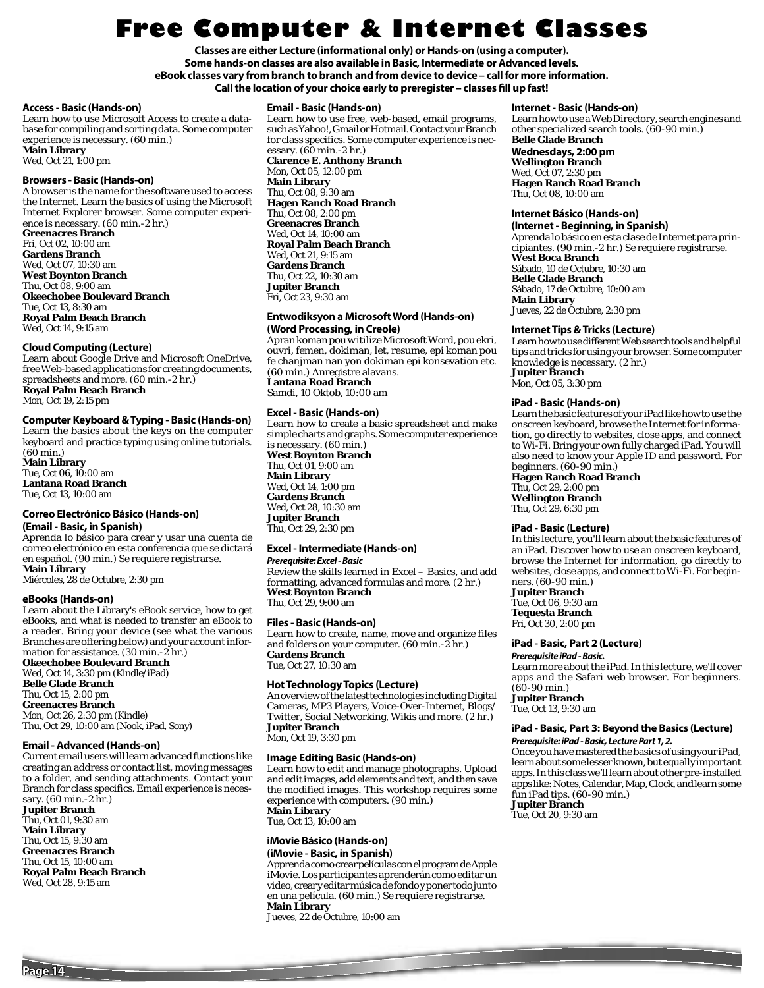## **Free Computer & Internet Classes**

**Classes are either Lecture (informational only) or Hands-on (using a computer). Some hands-on classes are also available in Basic, Intermediate or Advanced levels. eBook classes vary from branch to branch and from device to device – call for more information.**  Call the location of your choice early to preregister - classes fill up fast!

#### **Access - Basic (Hands-on)**

Learn how to use Microsoft Access to create a database for compiling and sorting data. Some computer experience is necessary. (60 min.) **Main Library**

Wed, Oct 21, 1:00 pm

#### **Browsers - Basic (Hands-on)**

A browser is the name for the software used to access the Internet. Learn the basics of using the Microsoft Internet Explorer browser. Some computer experience is necessary. (60 min.-2 hr.) **Greenacres Branch** Fri, Oct 02, 10:00 am **Gardens Branch** Wed, Oct 07, 10:30 am **West Boynton Branch** Thu, Oct 08, 9:00 am **Okeechobee Boulevard Branch**

Tue, Oct 13, 8:30 am **Royal Palm Beach Branch** Wed, Oct 14, 9:15 am

#### **Cloud Computing (Lecture)**

Learn about Google Drive and Microsoft OneDrive, free Web-based applications for creating documents, spreadsheets and more. (60 min.-2 hr.) **Royal Palm Beach Branch** Mon, Oct 19, 2:15 pm

#### **Computer Keyboard & Typing - Basic (Hands-on)**

Learn the basics about the keys on the computer keyboard and practice typing using online tutorials.  $(60 \text{ min.})$ **Main Library** Tue, Oct 06, 10:00 am

**Lantana Road Branch** Tue, Oct 13, 10:00 am

#### **Correo Electrónico Básico (Hands-on) (Email - Basic, in Spanish)**

Aprenda lo básico para crear y usar una cuenta de correo electrónico en esta conferencia que se dictará en español. (90 min.) Se requiere registrarse. **Main Library**

Miércoles, 28 de Octubre, 2:30 pm

#### **eBooks (Hands-on)**

Learn about the Library's eBook service, how to get eBooks, and what is needed to transfer an eBook to a reader. Bring your device (see what the various Branches are offering below) and your account information for assistance. (30 min.-2 hr.) **Okeechobee Boulevard Branch**

Wed, Oct 14, 3:30 pm (Kindle/iPad) **Belle Glade Branch** Thu, Oct 15, 2:00 pm **Greenacres Branch** Mon, Oct 26, 2:30 pm (Kindle) Thu, Oct 29, 10:00 am (Nook, iPad, Sony)

#### **Email - Advanced (Hands-on)**

Current email users will learn advanced functions like creating an address or contact list, moving messages to a folder, and sending attachments. Contact your Branch for class specifics. Email experience is necessary. (60 min.-2 hr.)

**Jupiter Branch** Thu, Oct 01, 9:30 am **Main Library** Thu, Oct 15, 9:30 am **Greenacres Branch** Thu, Oct 15, 10:00 am **Royal Palm Beach Branch** Wed, Oct 28, 9:15 am

#### **Email - Basic (Hands-on)**

Learn how to use free, web-based, email programs, such as Yahoo!, Gmail or Hotmail. Contact your Branch for class specifics. Some computer experience is necessary. (60 min.-2 hr.) **Clarence E. Anthony Branch**

Mon, Oct 05, 12:00 pm **Main Library** Thu, Oct 08, 9:30 am **Hagen Ranch Road Branch** Thu, Oct 08, 2:00 pm **Greenacres Branch** Wed, Oct 14, 10:00 am **Royal Palm Beach Branch** Wed, Oct 21, 9:15 am **Gardens Branch** Thu, Oct 22, 10:30 am **Jupiter Branch** Fri, Oct 23, 9:30 am

#### **Entwodiksyon a Microsoft Word (Hands-on) (Word Processing, in Creole)**

Apran koman pou w itilize Microsoft Word, pou ekri, ouvri, femen, dokiman, let, resume, epi koman pou fe chanjman nan yon dokiman epi konsevation etc. (60 min.) Anregistre alavans. **Lantana Road Branch** Samdi, 10 Oktob, 10:00 am

#### **Excel - Basic (Hands-on)**

Learn how to create a basic spreadsheet and make simple charts and graphs. Some computer experience is necessary. (60 min.) **West Boynton Branch** Thu, Oct 01, 9:00 am **Main Library** Wed, Oct 14, 1:00 pm

**Gardens Branch** Wed, Oct 28, 10:30 am **Jupiter Branch** Thu, Oct 29, 2:30 pm

#### **Excel - Intermediate (Hands-on)**

#### *Prerequisite: Excel - Basic*

Review the skills learned in Excel – Basics, and add formatting, advanced formulas and more. (2 hr.) **West Boynton Branch** Thu, Oct 29, 9:00 am

#### **Files - Basic (Hands-on)**

Learn how to create, name, move and organize files and folders on your computer. (60 min.-2 hr.) **Gardens Branch** Tue, Oct 27, 10:30 am

### **Hot Technology Topics (Lecture)**

An overview of the latest technologies including Digital Cameras, MP3 Players, Voice-Over-Internet, Blogs/ Twitter, Social Networking, Wikis and more. (2 hr.) **Jupiter Branch** Mon, Oct 19, 3:30 pm

#### **Image Editing Basic (Hands-on)**

Learn how to edit and manage photographs. Upload and edit images, add elements and text, and then save the modified images. This workshop requires some experience with computers. (90 min.) **Main Library** Tue, Oct 13, 10:00 am

#### **iMovie Básico (Hands-on) (iMovie - Basic, in Spanish)**

Apprenda como crear películas con el program de Apple iMovie. Los participantes aprenderán como editar un video, crear y editar música de fondo y poner todo junto en una película. (60 min.) Se requiere registrarse. **Main Library**

Jueves, 22 de Octubre, 10:00 am

#### **Internet - Basic (Hands-on)**

Learn how to use a Web Directory, search engines and other specialized search tools. (60-90 min.)

#### **Belle Glade Branch Wednesdays, 2:00 pm**

**Wellington Branch** Wed, Oct 07, 2:30 pm **Hagen Ranch Road Branch** Thu, Oct 08, 10:00 am

#### **Internet Básico (Hands-on)**

**(Internet - Beginning, in Spanish)**  Aprenda lo básico en esta clase de Internet para principiantes. (90 min.-2 hr.) Se requiere registrarse. **West Boca Branch** Sábado, 10 de Octubre, 10:30 am **Belle Glade Branch** Sábado, 17 de Octubre, 10:00 am **Main Library**

Jueves, 22 de Octubre, 2:30 pm

#### **Internet Tips & Tricks (Lecture)**

Learn how to use different Web search tools and helpful tips and tricks for using your browser. Some computer knowledge is necessary. (2 hr.) **Jupiter Branch** Mon, Oct 05, 3:30 pm

#### **iPad - Basic (Hands-on)**

Learn the basic features of your iPad like how to use the onscreen keyboard, browse the Internet for information, go directly to websites, close apps, and connect to Wi-Fi. Bring your own fully charged iPad. You will also need to know your Apple ID and password. For beginners. (60-90 min.)

**Hagen Ranch Road Branch** Thu, Oct 29, 2:00 pm **Wellington Branch** Thu, Oct 29, 6:30 pm

#### **iPad - Basic (Lecture)**

In this lecture, you'll learn about the basic features of an iPad. Discover how to use an onscreen keyboard, browse the Internet for information, go directly to websites, close apps, and connect to Wi-Fi. For beginners. (60-90 min.)

**Jupiter Branch**

Tue, Oct 06, 9:30 am **Tequesta Branch** Fri, Oct 30, 2:00 pm

#### **iPad - Basic, Part 2 (Lecture)**

*Prerequisite iPad - Basic.*  Learn more about the iPad. In this lecture, we'll cover apps and the Safari web browser. For beginners.  $(60-90 \text{ min.})$ **Jupiter Branch** Tue, Oct 13, 9:30 am

## **iPad - Basic, Part 3: Beyond the Basics (Lecture)**

#### *Prerequisite: iPad - Basic, Lecture Part 1, 2.*

Once you have mastered the basics of using your iPad, learn about some lesser known, but equally important apps. In this class we'll learn about other pre-installed apps like: Notes, Calendar, Map, Clock, and learn some fun iPad tips. (60-90 min.) **Jupiter Branch**

Tue, Oct 20, 9:30 am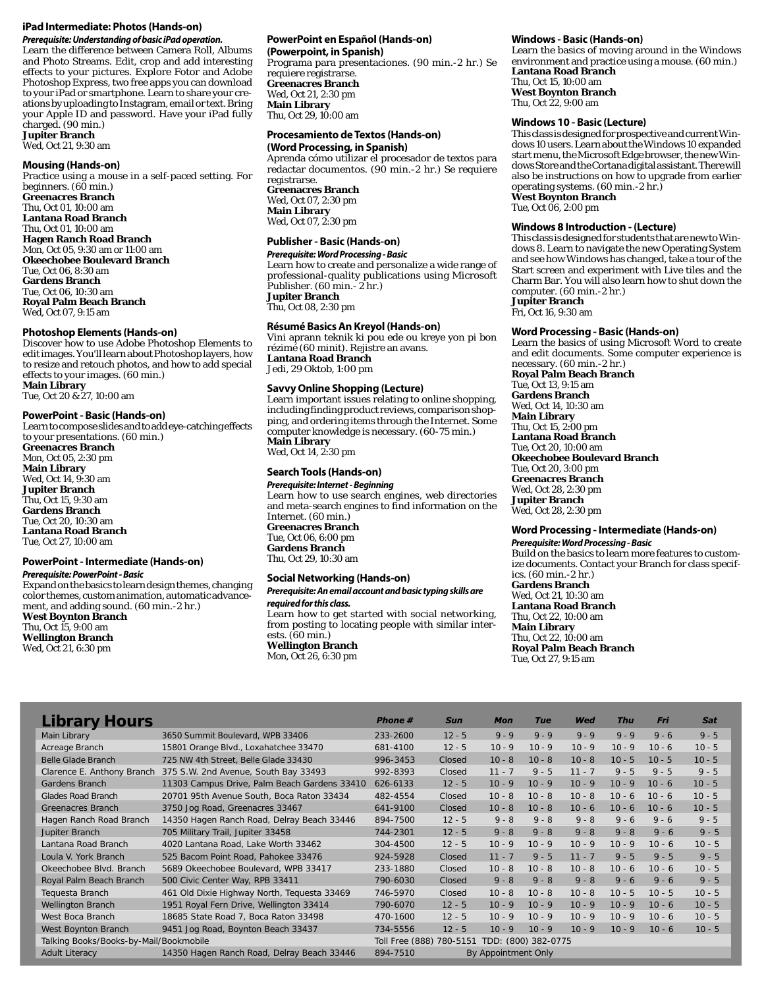#### **iPad Intermediate: Photos (Hands-on)**

*Prerequisite: Understanding of basic iPad operation.*  Learn the difference between Camera Roll, Albums and Photo Streams. Edit, crop and add interesting effects to your pictures. Explore Fotor and Adobe Photoshop Express, two free apps you can download to your iPad or smartphone. Learn to share your creations by uploading to Instagram, email or text. Bring your Apple ID and password. Have your iPad fully charged. (90 min.)

**Jupiter Branch** Wed, Oct 21, 9:30 am

#### **Mousing (Hands-on)**

Practice using a mouse in a self-paced setting. For beginners. (60 min.) **Greenacres Branch** Thu, Oct 01, 10:00 am **Lantana Road Branch** Thu, Oct 01, 10:00 am **Hagen Ranch Road Branch** Mon, Oct 05, 9:30 am or 11:00 am **Okeechobee Boulevard Branch** Tue, Oct 06, 8:30 am **Gardens Branch** Tue, Oct 06, 10:30 am **Royal Palm Beach Branch** Wed, Oct 07, 9:15 am

#### **Photoshop Elements (Hands-on)**

Discover how to use Adobe Photoshop Elements to edit images. You'll learn about Photoshop layers, how to resize and retouch photos, and how to add special effects to your images. (60 min.)

**Main Library** Tue, Oct 20 & 27, 10:00 am

#### **PowerPoint - Basic (Hands-on)**

Learn to compose slides and to add eye-catching effects to your presentations. (60 min.) **Greenacres Branch**

Mon, Oct 05, 2:30 pm **Main Library** Wed, Oct 14, 9:30 am **Jupiter Branch** Thu, Oct 15, 9:30 am **Gardens Branch** Tue, Oct 20, 10:30 am **Lantana Road Branch** Tue, Oct 27, 10:00 am

#### **PowerPoint - Intermediate (Hands-on)**

#### *Prerequisite: PowerPoint - Basic*

Expand on the basics to learn design themes, changing color themes, custom animation, automatic advancement, and adding sound. (60 min.-2 hr.) **West Boynton Branch** Thu, Oct 15, 9:00 am **Wellington Branch**

Wed, Oct 21, 6:30 pm

#### **PowerPoint en Español (Hands-on) (Powerpoint, in Spanish)**

Programa para presentaciones. (90 min.-2 hr.) Se requiere registrarse. **Greenacres Branch** Wed, Oct 21, 2:30 pm **Main Library** Thu, Oct 29, 10:00 am

#### **Procesamiento de Textos (Hands-on) (Word Processing, in Spanish)**

Aprenda cómo utilizar el procesador de textos para redactar documentos. (90 min.-2 hr.) Se requiere registrarse. **Greenacres Branch**

Wed, Oct 07, 2:30 pm **Main Library** Wed, Oct 07, 2:30 pm

#### **Publisher - Basic (Hands-on)**

#### *Prerequisite: Word Processing - Basic* Learn how to create and personalize a wide range of professional-quality publications using Microsoft

Publisher. (60 min.- 2 hr.) **Jupiter Branch** Thu, Oct 08, 2:30 pm

#### **Résumé Basics An Kreyol (Hands-on)**

Vini aprann teknik ki pou ede ou kreye yon pi bon rézimé (60 minit). Rejistre an avans. **Lantana Road Branch** Jedi, 29 Oktob, 1:00 pm

#### **Savvy Online Shopping (Lecture)**

Learn important issues relating to online shopping, including finding product reviews, comparison shopping, and ordering items through the Internet. Some computer knowledge is necessary. (60-75 min.) **Main Library** Wed, Oct 14, 2:30 pm

## **Search Tools (Hands-on)**

*Prerequisite: Internet - Beginning* Learn how to use search engines, web directories and meta-search engines to find information on the Internet. (60 min.) **Greenacres Branch** Tue, Oct 06, 6:00 pm **Gardens Branch** Thu, Oct 29, 10:30 am

#### **Social Networking (Hands-on)**

#### *Prerequisite: An email account and basic typing skills are required for this class.*

Learn how to get started with social networking, from posting to locating people with similar interests. (60 min.)

**Wellington Branch** Mon, Oct 26, 6:30 pm

#### **Windows - Basic (Hands-on)**

Learn the basics of moving around in the Windows environment and practice using a mouse. (60 min.) **Lantana Road Branch** Thu, Oct 15, 10:00 am **West Boynton Branch** Thu, Oct 22, 9:00 am

#### **Windows 10 - Basic (Lecture)**

This class is designed for prospective and current Windows 10 users. Learn about the Windows 10 expanded start menu, the Microsoft Edge browser, the new Windows Store and the Cortana digital assistant. There will also be instructions on how to upgrade from earlier operating systems. (60 min.-2 hr.)

**West Boynton Branch**

Tue, Oct 06, 2:00 pm

#### **Windows 8 Introduction - (Lecture)**

This class is designed for students that are new to Windows 8. Learn to navigate the new Operating System and see how Windows has changed, take a tour of the Start screen and experiment with Live tiles and the Charm Bar. You will also learn how to shut down the computer. (60 min.-2 hr.)

**Jupiter Branch**

Fri, Oct 16, 9:30 am

#### **Word Processing - Basic (Hands-on)**

Learn the basics of using Microsoft Word to create and edit documents. Some computer experience is necessary. (60 min.-2 hr.)

**Royal Palm Beach Branch** Tue, Oct 13, 9:15 am **Gardens Branch** Wed, Oct 14, 10:30 am **Main Library** Thu, Oct 15, 2:00 pm **Lantana Road Branch** Tue, Oct 20, 10:00 am **Okeechobee Boulevard Branch** Tue, Oct 20, 3:00 pm **Greenacres Branch** Wed, Oct 28, 2:30 pm **Jupiter Branch** Wed, Oct 28, 2:30 pm

#### **Word Processing - Intermediate (Hands-on)**

*Prerequisite: Word Processing - Basic* Build on the basics to learn more features to customize documents. Contact your Branch for class specifics. (60 min.-2 hr.) **Gardens Branch** Wed, Oct 21, 10:30 am **Lantana Road Branch** Thu, Oct 22, 10:00 am **Main Library** Thu, Oct 22, 10:00 am **Royal Palm Beach Branch** Tue, Oct 27, 9:15 am

| <b>Library Hours</b>                   |                                              | <b>Phone</b> # | <b>Sun</b>               | <b>Mon</b>          | <b>Tue</b>          | Wed      | <b>Thu</b> | Fri      | <b>Sat</b> |
|----------------------------------------|----------------------------------------------|----------------|--------------------------|---------------------|---------------------|----------|------------|----------|------------|
| Main Library                           | 3650 Summit Boulevard, WPB 33406             | 233-2600       | $12 - 5$                 | $9 - 9$             | $9 - 9$             | $9 - 9$  | $9 - 9$    | $9 - 6$  | $9 - 5$    |
| Acreage Branch                         | 15801 Orange Blvd., Loxahatchee 33470        | 681-4100       | $12 - 5$                 | $10 - 9$            | $10 - 9$            | $10 - 9$ | $10 - 9$   | $10 - 6$ | $10 - 5$   |
| <b>Belle Glade Branch</b>              | 725 NW 4th Street, Belle Glade 33430         | 996-3453       | Closed                   | $10 - 8$            | $10 - 8$            | $10 - 8$ | $10 - 5$   | $10 - 5$ | $10 - 5$   |
| Clarence E. Anthony Branch             | 375 S.W. 2nd Avenue, South Bay 33493         | 992-8393       | Closed                   | $11 - 7$            | $9 - 5$             | $11 - 7$ | $9 - 5$    | $9 - 5$  | $9 - 5$    |
| Gardens Branch                         | 11303 Campus Drive, Palm Beach Gardens 33410 | 626-6133       | $12 - 5$                 | $10 - 9$            | $10 - 9$            | $10 - 9$ | $10 - 9$   | $10 - 6$ | $10 - 5$   |
| <b>Glades Road Branch</b>              | 20701 95th Avenue South, Boca Raton 33434    | 482-4554       | Closed                   | $10 - 8$            | $10 - 8$            | $10 - 8$ | $10 - 6$   | $10 - 6$ | $10 - 5$   |
| Greenacres Branch                      | 3750 Jog Road, Greenacres 33467              | 641-9100       | Closed                   | $10 - 8$            | $10 - 8$            | $10 - 6$ | $10 - 6$   | $10 - 6$ | $10 - 5$   |
| Hagen Ranch Road Branch                | 14350 Hagen Ranch Road, Delray Beach 33446   | 894-7500       | $12 - 5$                 | $9 - 8$             | $9 - 8$             | $9 - 8$  | $9 - 6$    | $9 - 6$  | $9 - 5$    |
| Jupiter Branch                         | 705 Military Trail, Jupiter 33458            | 744-2301       | $12 - 5$                 | $9 - 8$             | $9 - 8$             | $9 - 8$  | $9 - 8$    | $9 - 6$  | $9 - 5$    |
| Lantana Road Branch                    | 4020 Lantana Road, Lake Worth 33462          | 304-4500       | $12 - 5$                 | $10 - 9$            | $10 - 9$            | $10 - 9$ | $10 - 9$   | $10 - 6$ | $10 - 5$   |
| Loula V. York Branch                   | 525 Bacom Point Road, Pahokee 33476          | 924-5928       | Closed                   | $11 - 7$            | $9 - 5$             | $11 - 7$ | $9 - 5$    | $9 - 5$  | $9 - 5$    |
| Okeechobee Blvd. Branch                | 5689 Okeechobee Boulevard, WPB 33417         | 233-1880       | Closed                   | $10 - 8$            | $10 - 8$            | $10 - 8$ | $10 - 6$   | $10 - 6$ | $10 - 5$   |
| Royal Palm Beach Branch                | 500 Civic Center Way, RPB 33411              | 790-6030       | Closed                   | $9 - 8$             | $9 - 8$             | $9 - 8$  | $9 - 6$    | $9 - 6$  | $9 - 5$    |
| Tequesta Branch                        | 461 Old Dixie Highway North, Tequesta 33469  | 746-5970       | <b>Closed</b>            | $10 - 8$            | $10 - 8$            | $10 - 8$ | $10 - 5$   | $10 - 5$ | $10 - 5$   |
| <b>Wellington Branch</b>               | 1951 Royal Fern Drive, Wellington 33414      | 790-6070       | $12 - 5$                 | $10 - 9$            | $10 - 9$            | $10 - 9$ | $10 - 9$   | $10 - 6$ | $10 - 5$   |
| West Boca Branch                       | 18685 State Road 7, Boca Raton 33498         | 470-1600       | $12 - 5$                 | $10 - 9$            | $10 - 9$            | $10 - 9$ | $10 - 9$   | $10 - 6$ | $10 - 5$   |
| West Boynton Branch                    | 9451 Jog Road, Boynton Beach 33437           | 734-5556       | $12 - 5$                 | $10 - 9$            | $10 - 9$            | $10 - 9$ | $10 - 9$   | $10 - 6$ | $10 - 5$   |
| Talking Books/Books-by-Mail/Bookmobile |                                              |                | Toll Free (888) 780-5151 |                     | TDD: (800) 382-0775 |          |            |          |            |
| <b>Adult Literacy</b>                  | 14350 Hagen Ranch Road, Delray Beach 33446   | 894-7510       |                          | By Appointment Only |                     |          |            |          |            |